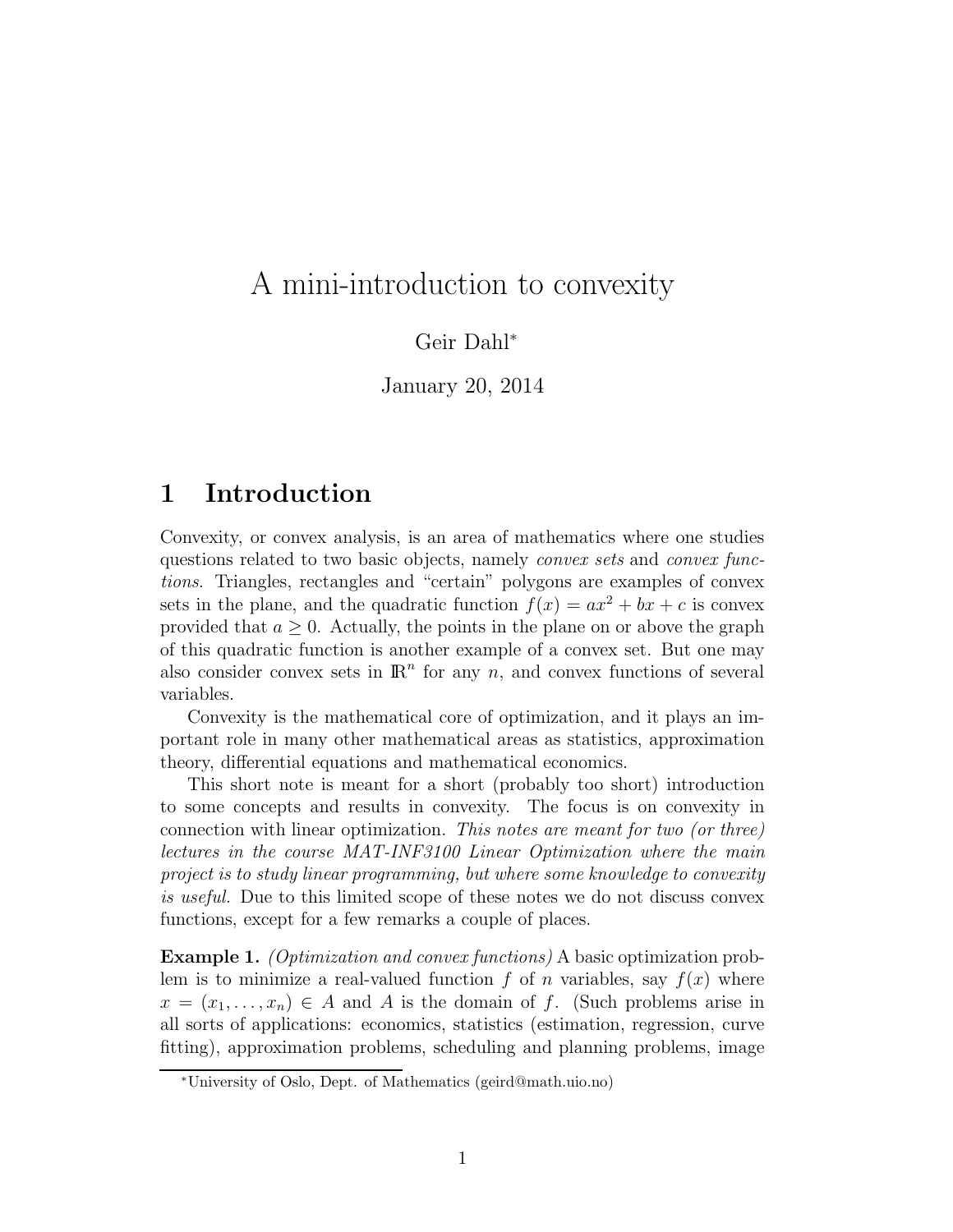# A mini-introduction to convexity

Geir Dahl<sup>∗</sup>

January 20, 2014

## 1 Introduction

Convexity, or convex analysis, is an area of mathematics where one studies questions related to two basic objects, namely *convex sets* and *convex functions*. Triangles, rectangles and "certain" polygons are examples of convex sets in the plane, and the quadratic function  $f(x) = ax^2 + bx + c$  is convex provided that  $a \geq 0$ . Actually, the points in the plane on or above the graph of this quadratic function is another example of a convex set. But one may also consider convex sets in  $\mathbb{R}^n$  for any n, and convex functions of several variables.

Convexity is the mathematical core of optimization, and it plays an important role in many other mathematical areas as statistics, approximation theory, differential equations and mathematical economics.

This short note is meant for a short (probably too short) introduction to some concepts and results in convexity. The focus is on convexity in connection with linear optimization. *This notes are meant for two (or three) lectures in the course MAT-INF3100 Linear Optimization where the main project is to study linear programming, but where some knowledge to convexity is useful.* Due to this limited scope of these notes we do not discuss convex functions, except for a few remarks a couple of places.

Example 1. *(Optimization and convex functions)* A basic optimization problem is to minimize a real-valued function f of n variables, say  $f(x)$  where  $x = (x_1, \ldots, x_n) \in A$  and A is the domain of f. (Such problems arise in all sorts of applications: economics, statistics (estimation, regression, curve fitting), approximation problems, scheduling and planning problems, image

<sup>∗</sup>University of Oslo, Dept. of Mathematics (geird@math.uio.no)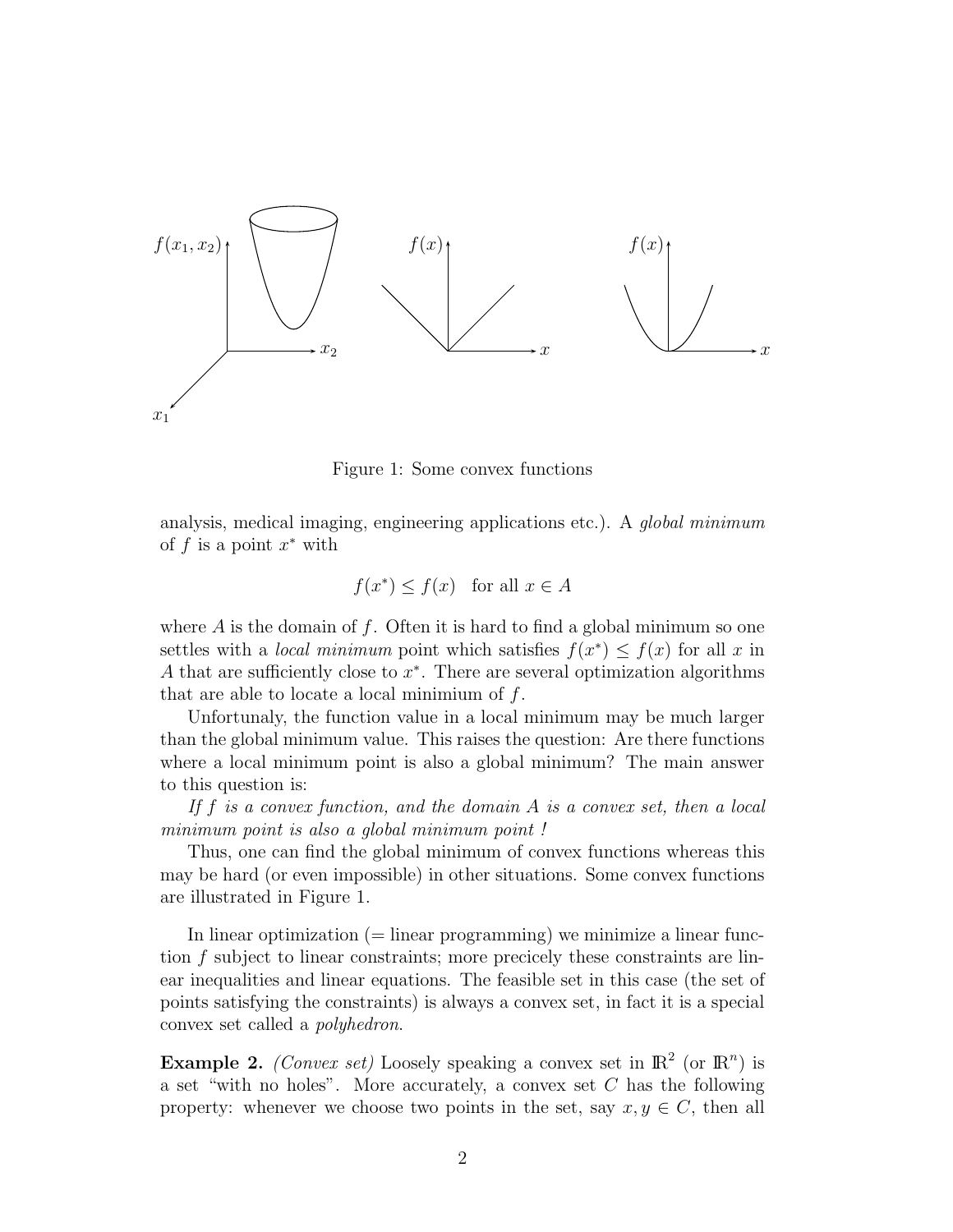

Figure 1: Some convex functions

analysis, medical imaging, engineering applications etc.). A *global minimum* of  $f$  is a point  $x^*$  with

$$
f(x^*) \le f(x) \quad \text{for all } x \in A
$$

where  $A$  is the domain of f. Often it is hard to find a global minimum so one settles with a *local minimum* point which satisfies  $f(x^*) \leq f(x)$  for all x in A that are sufficiently close to  $x^*$ . There are several optimization algorithms that are able to locate a local minimium of  $f$ .

Unfortunaly, the function value in a local minimum may be much larger than the global minimum value. This raises the question: Are there functions where a local minimum point is also a global minimum? The main answer to this question is:

*If* f *is a convex function, and the domain* A *is a convex set, then a local minimum point is also a global minimum point !*

Thus, one can find the global minimum of convex functions whereas this may be hard (or even impossible) in other situations. Some convex functions are illustrated in Figure 1.

In linear optimization  $(=$  linear programming) we minimize a linear function f subject to linear constraints; more precicely these constraints are linear inequalities and linear equations. The feasible set in this case (the set of points satisfying the constraints) is always a convex set, in fact it is a special convex set called a *polyhedron*.

**Example 2.** *(Convex set)* Loosely speaking a convex set in  $\mathbb{R}^2$  (or  $\mathbb{R}^n$ ) is a set "with no holes". More accurately, a convex set  $C$  has the following property: whenever we choose two points in the set, say  $x, y \in C$ , then all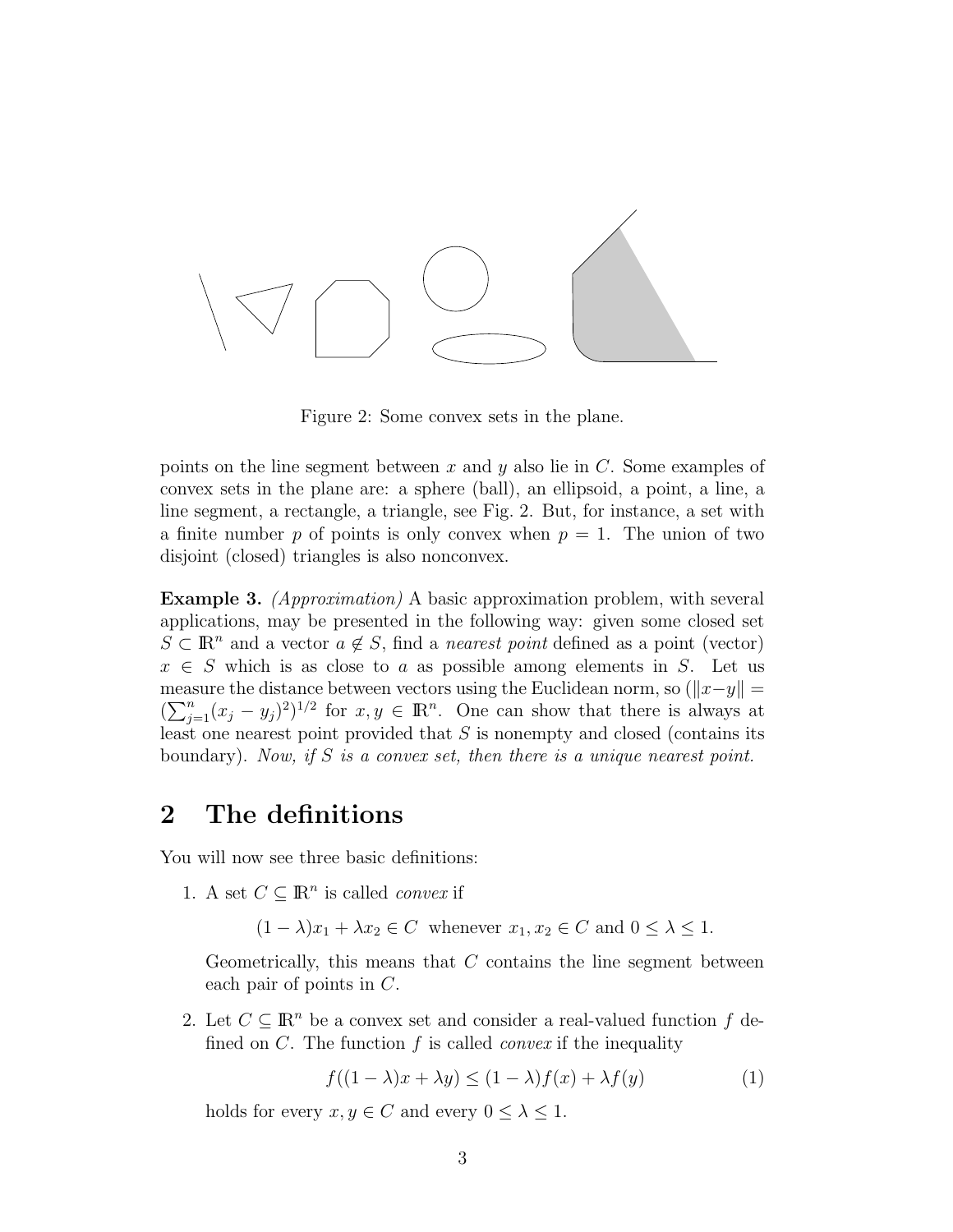

Figure 2: Some convex sets in the plane.

points on the line segment between  $x$  and  $y$  also lie in  $C$ . Some examples of convex sets in the plane are: a sphere (ball), an ellipsoid, a point, a line, a line segment, a rectangle, a triangle, see Fig. 2. But, for instance, a set with a finite number p of points is only convex when  $p = 1$ . The union of two disjoint (closed) triangles is also nonconvex.

Example 3. *(Approximation)* A basic approximation problem, with several applications, may be presented in the following way: given some closed set  $S \subset \mathbb{R}^n$  and a vector  $a \notin S$ , find a *nearest point* defined as a point (vector)  $x \in S$  which is as close to a as possible among elements in S. Let us measure the distance between vectors using the Euclidean norm, so  $(\Vert x-y \Vert =$  $(\sum_{j=1}^n (x_j - y_j)^2)^{1/2}$  for  $x, y \in \mathbb{R}^n$ . One can show that there is always at least one nearest point provided that  $S$  is nonempty and closed (contains its boundary). *Now, if* S *is a convex set, then there is a unique nearest point.*

## 2 The definitions

You will now see three basic definitions:

1. A set  $C \subseteq \mathbb{R}^n$  is called *convex* if

 $(1 - \lambda)x_1 + \lambda x_2 \in C$  whenever  $x_1, x_2 \in C$  and  $0 \leq \lambda \leq 1$ .

Geometrically, this means that  $C$  contains the line segment between each pair of points in C.

2. Let  $C \subseteq \mathbb{R}^n$  be a convex set and consider a real-valued function f defined on C. The function f is called *convex* if the inequality

$$
f((1 - \lambda)x + \lambda y) \le (1 - \lambda)f(x) + \lambda f(y)
$$
 (1)

holds for every  $x, y \in C$  and every  $0 \leq \lambda \leq 1$ .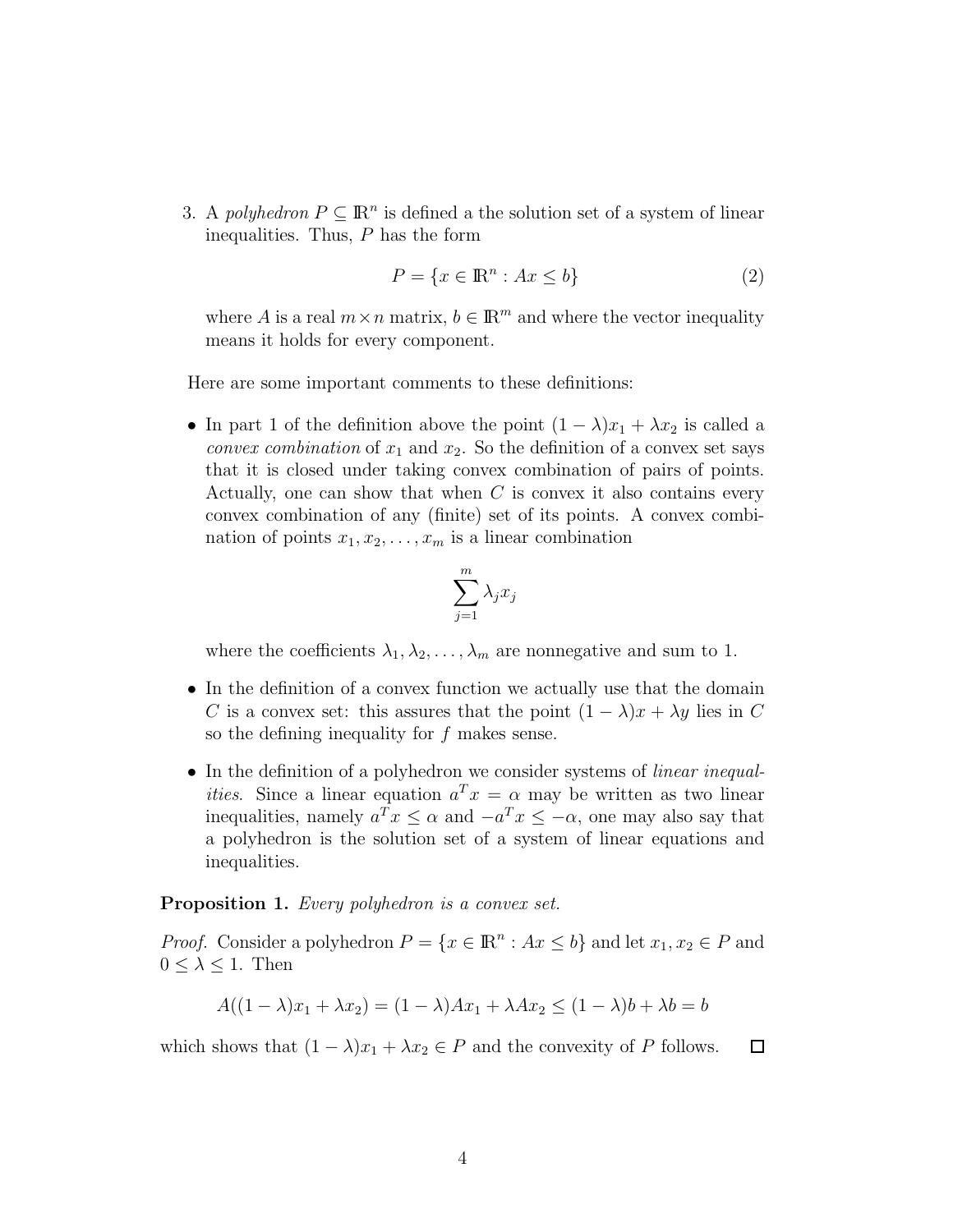3. A *polyhedron*  $P \subseteq \mathbb{R}^n$  is defined a the solution set of a system of linear inequalities. Thus,  $P$  has the form

$$
P = \{x \in \mathbb{R}^n : Ax \le b\}
$$
\n<sup>(2)</sup>

where A is a real  $m \times n$  matrix,  $b \in \mathbb{R}^m$  and where the vector inequality means it holds for every component.

Here are some important comments to these definitions:

• In part 1 of the definition above the point  $(1 - \lambda)x_1 + \lambda x_2$  is called a *convex combination* of  $x_1$  and  $x_2$ . So the definition of a convex set says that it is closed under taking convex combination of pairs of points. Actually, one can show that when  $C$  is convex it also contains every convex combination of any (finite) set of its points. A convex combination of points  $x_1, x_2, \ldots, x_m$  is a linear combination

$$
\sum_{j=1}^m \lambda_j x_j
$$

where the coefficients  $\lambda_1, \lambda_2, \ldots, \lambda_m$  are nonnegative and sum to 1.

- In the definition of a convex function we actually use that the domain C is a convex set: this assures that the point  $(1 - \lambda)x + \lambda y$  lies in C so the defining inequality for  $f$  makes sense.
- In the definition of a polyhedron we consider systems of *linear inequalities*. Since a linear equation  $a^T x = \alpha$  may be written as two linear inequalities, namely  $a^T x \leq \alpha$  and  $-a^T x \leq -\alpha$ , one may also say that a polyhedron is the solution set of a system of linear equations and inequalities.

#### Proposition 1. *Every polyhedron is a convex set.*

*Proof.* Consider a polyhedron  $P = \{x \in \mathbb{R}^n : Ax \leq b\}$  and let  $x_1, x_2 \in P$  and  $0 \leq \lambda \leq 1$ . Then

$$
A((1 - \lambda)x_1 + \lambda x_2) = (1 - \lambda)Ax_1 + \lambda Ax_2 \le (1 - \lambda)b + \lambda b = b
$$

which shows that  $(1 - \lambda)x_1 + \lambda x_2 \in P$  and the convexity of P follows.  $\Box$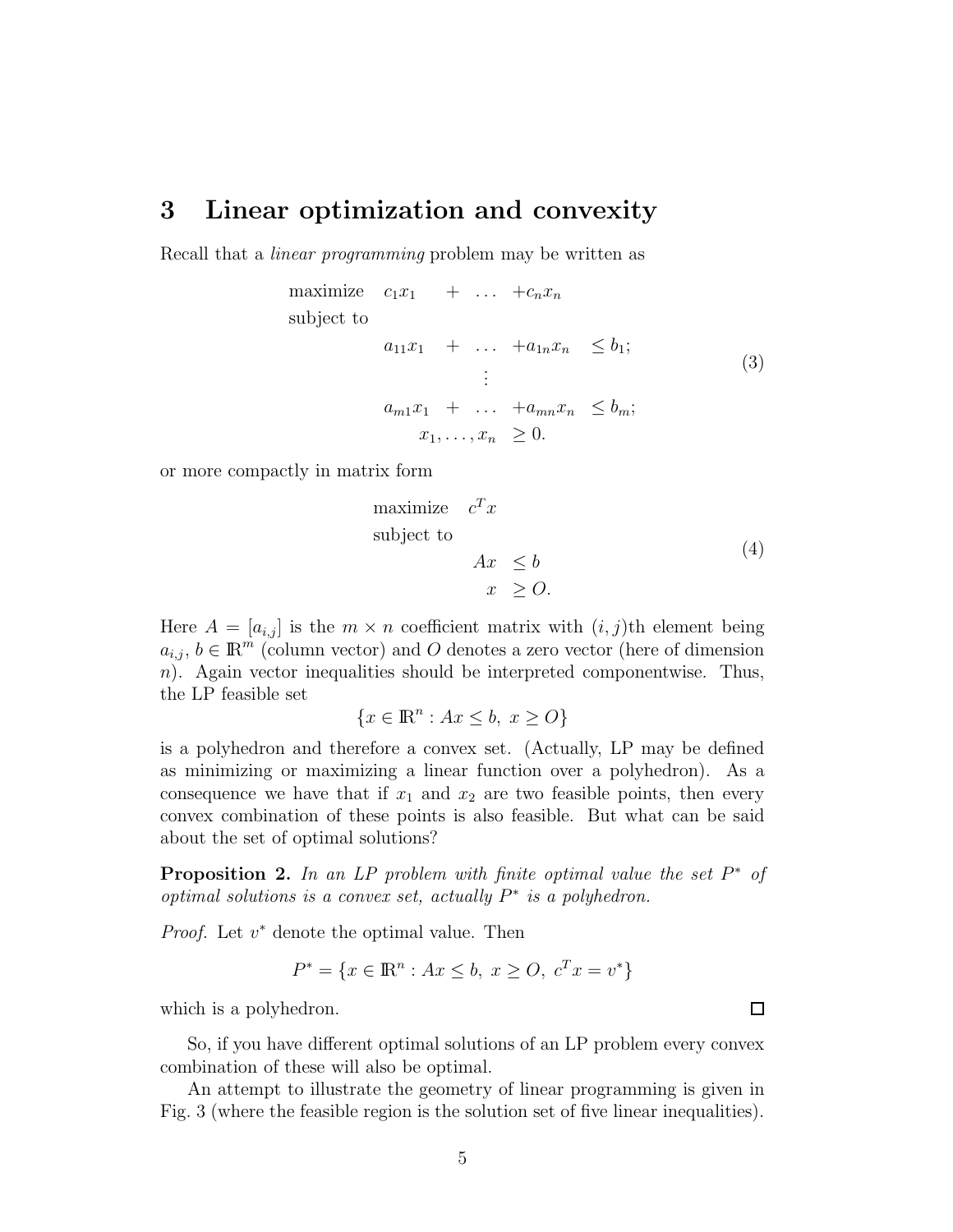#### 3 Linear optimization and convexity

Recall that a *linear programming* problem may be written as

maximize 
$$
c_1x_1 + \dots + c_nx_n
$$
  
\nsubject to  
\n
$$
a_{11}x_1 + \dots + a_{1n}x_n \leq b_1;
$$
\n
$$
\vdots
$$
\n
$$
a_{m1}x_1 + \dots + a_{mn}x_n \leq b_m;
$$
\n
$$
x_1, \dots, x_n \geq 0.
$$
\n(3)

or more compactly in matrix form

maximize 
$$
c^T x
$$
  
subject to  

$$
Ax \leq b
$$

$$
x \geq O.
$$

$$
(4)
$$

Here  $A = [a_{i,j}]$  is the  $m \times n$  coefficient matrix with  $(i, j)$ th element being  $a_{i,j}, b \in \mathbb{R}^m$  (column vector) and O denotes a zero vector (here of dimension  $n$ ). Again vector inequalities should be interpreted componentwise. Thus, the LP feasible set

$$
\{x \in \mathbb{R}^n : Ax \le b, \ x \ge O\}
$$

is a polyhedron and therefore a convex set. (Actually, LP may be defined as minimizing or maximizing a linear function over a polyhedron). As a consequence we have that if  $x_1$  and  $x_2$  are two feasible points, then every convex combination of these points is also feasible. But what can be said about the set of optimal solutions?

**Proposition 2.** In an LP problem with finite optimal value the set  $P^*$  of *optimal solutions is a convex set, actually*  $P^*$  *is a polyhedron.* 

*Proof.* Let  $v^*$  denote the optimal value. Then

$$
P^* = \{ x \in \mathbb{R}^n : Ax \le b, \ x \ge 0, \ c^T x = v^* \}
$$

which is a polyhedron.

So, if you have different optimal solutions of an LP problem every convex combination of these will also be optimal.

An attempt to illustrate the geometry of linear programming is given in Fig. 3 (where the feasible region is the solution set of five linear inequalities).

 $\Box$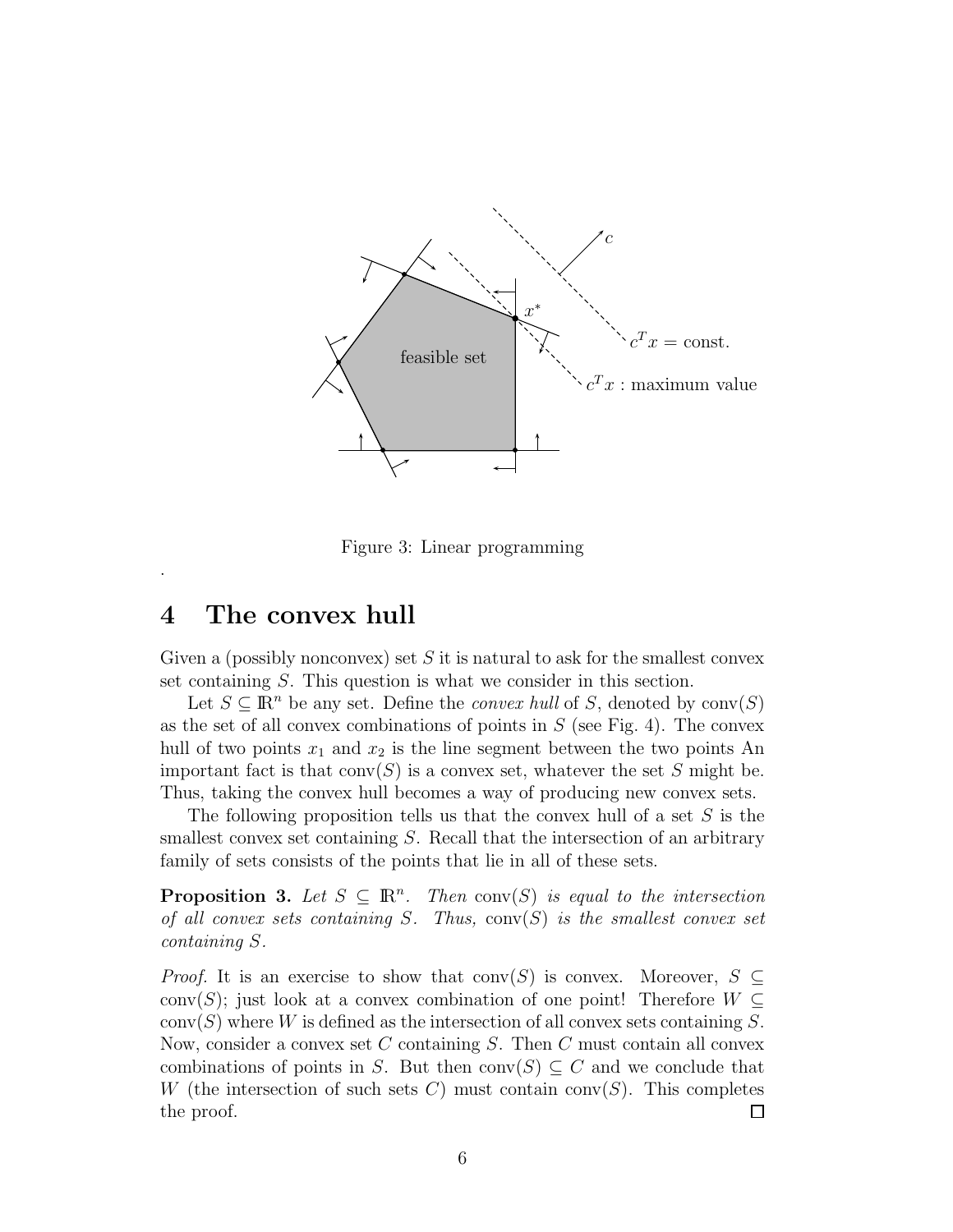

Figure 3: Linear programming

#### 4 The convex hull

.

Given a (possibly nonconvex) set  $S$  it is natural to ask for the smallest convex set containing S. This question is what we consider in this section.

Let  $S \subseteq \mathbb{R}^n$  be any set. Define the *convex hull* of S, denoted by  $conv(S)$ as the set of all convex combinations of points in  $S$  (see Fig. 4). The convex hull of two points  $x_1$  and  $x_2$  is the line segment between the two points An important fact is that  $conv(S)$  is a convex set, whatever the set S might be. Thus, taking the convex hull becomes a way of producing new convex sets.

The following proposition tells us that the convex hull of a set  $S$  is the smallest convex set containing S. Recall that the intersection of an arbitrary family of sets consists of the points that lie in all of these sets.

**Proposition 3.** Let  $S \subseteq \mathbb{R}^n$ . Then conv $(S)$  is equal to the intersection *of all convex sets containing* S*. Thus,* conv(S) *is the smallest convex set containing* S*.*

*Proof.* It is an exercise to show that conv(S) is convex. Moreover,  $S \subseteq$ conv(S); just look at a convex combination of one point! Therefore  $W \subseteq$  $conv(S)$  where W is defined as the intersection of all convex sets containing S. Now, consider a convex set  $C$  containing  $S$ . Then  $C$  must contain all convex combinations of points in S. But then conv $(S) \subseteq C$  and we conclude that W (the intersection of such sets C) must contain conv $(S)$ . This completes the proof.  $\Box$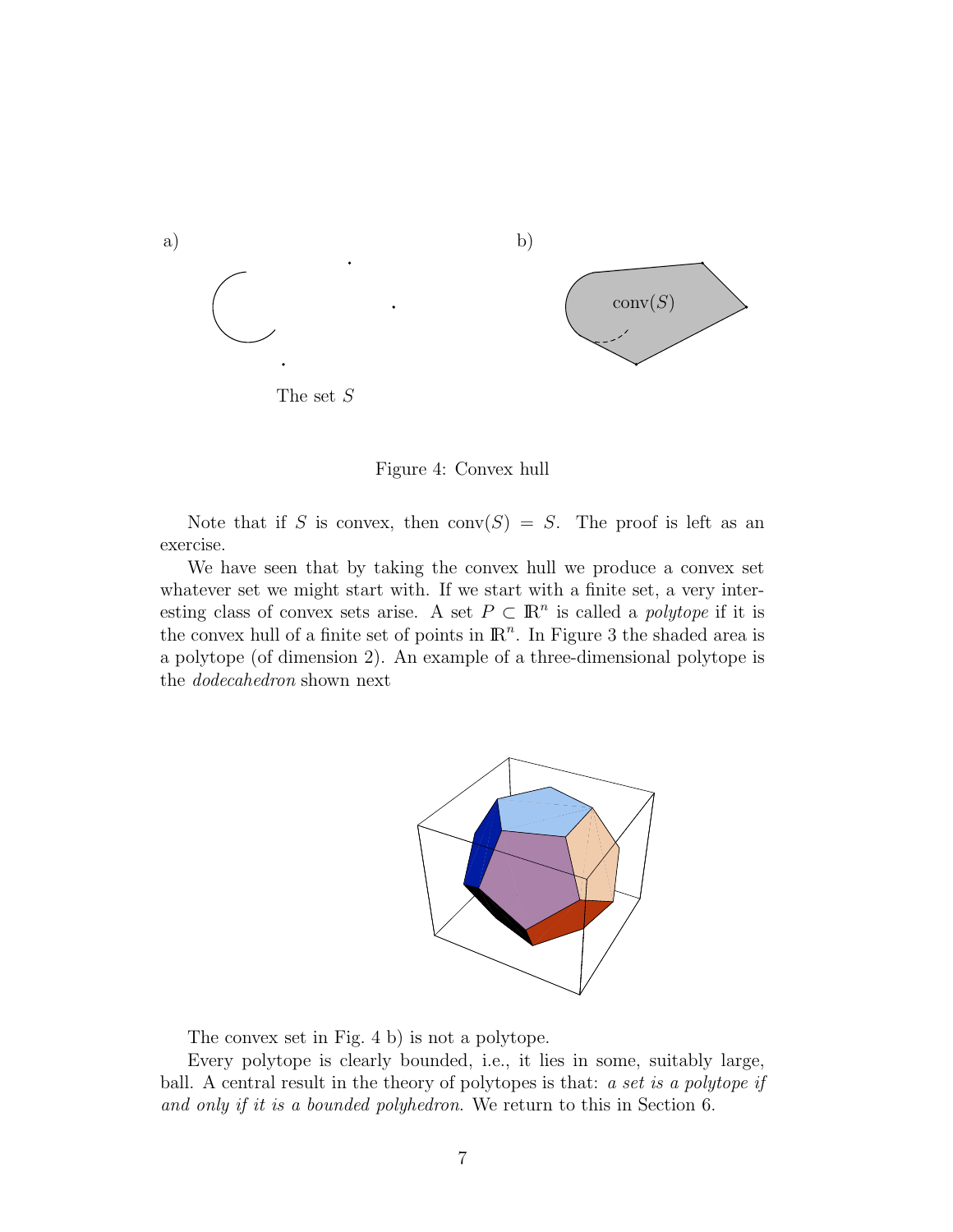

Figure 4: Convex hull

Note that if S is convex, then  $conv(S) = S$ . The proof is left as an exercise.

We have seen that by taking the convex hull we produce a convex set whatever set we might start with. If we start with a finite set, a very interesting class of convex sets arise. A set  $P \subset \mathbb{R}^n$  is called a *polytope* if it is the convex hull of a finite set of points in  $\mathbb{R}^n$ . In Figure 3 the shaded area is a polytope (of dimension 2). An example of a three-dimensional polytope is the *dodecahedron* shown next



The convex set in Fig. 4 b) is not a polytope.

Every polytope is clearly bounded, i.e., it lies in some, suitably large, ball. A central result in the theory of polytopes is that: *a set is a polytope if and only if it is a bounded polyhedron*. We return to this in Section 6.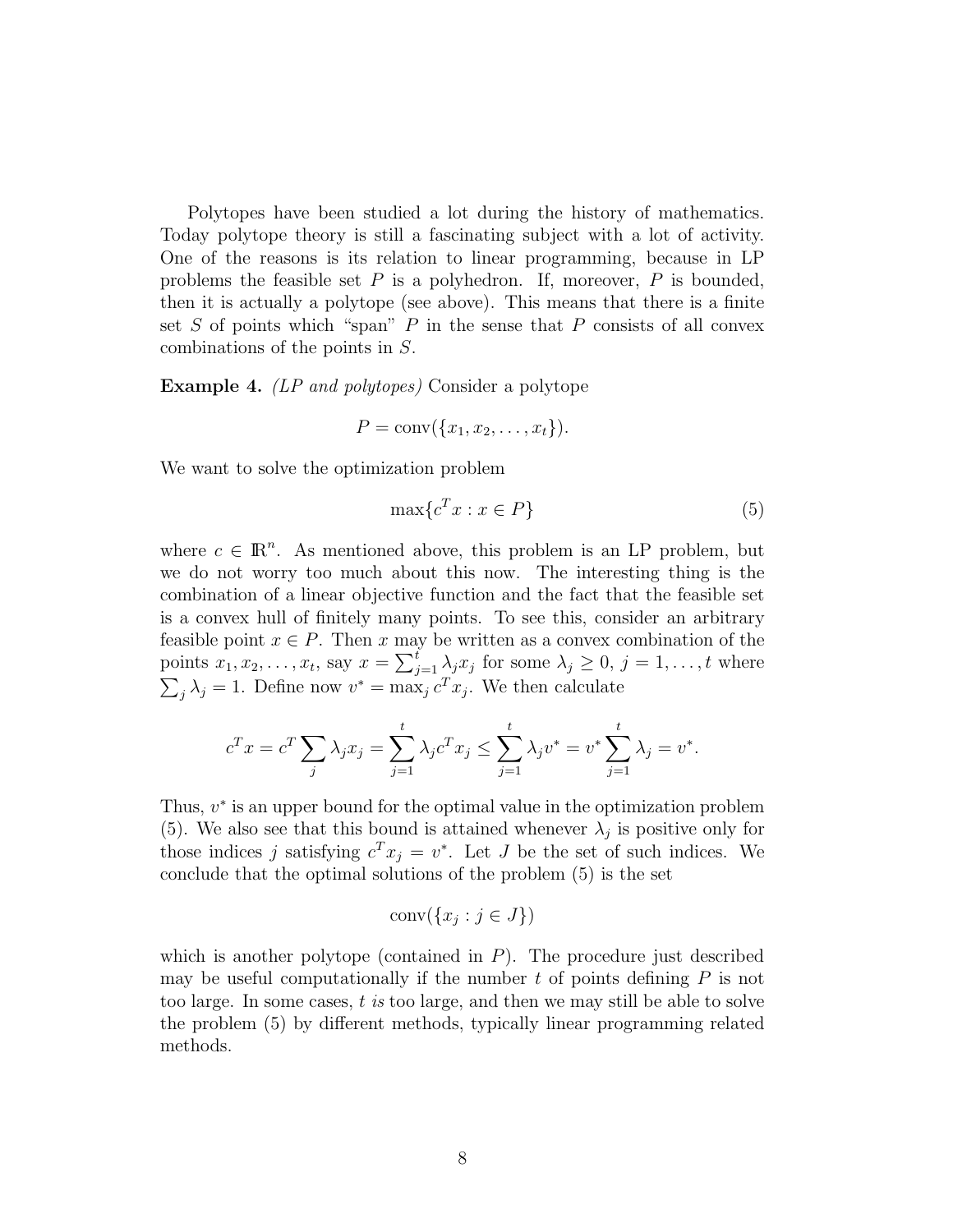Polytopes have been studied a lot during the history of mathematics. Today polytope theory is still a fascinating subject with a lot of activity. One of the reasons is its relation to linear programming, because in LP problems the feasible set  $P$  is a polyhedron. If, moreover,  $P$  is bounded, then it is actually a polytope (see above). This means that there is a finite set  $S$  of points which "span"  $P$  in the sense that  $P$  consists of all convex combinations of the points in S.

Example 4. *(LP and polytopes)* Consider a polytope

$$
P = \text{conv}(\{x_1, x_2, \ldots, x_t\}).
$$

We want to solve the optimization problem

$$
\max\{c^T x : x \in P\} \tag{5}
$$

where  $c \in \mathbb{R}^n$ . As mentioned above, this problem is an LP problem, but we do not worry too much about this now. The interesting thing is the combination of a linear objective function and the fact that the feasible set is a convex hull of finitely many points. To see this, consider an arbitrary feasible point  $x \in P$ . Then x may be written as a convex combination of the points  $x_1, x_2, \ldots, x_t$ , say  $x = \sum_{j=1}^t \lambda_j x_j$  for some  $\lambda_j \geq 0, j = 1, \ldots, t$  where  $\sum_j \lambda_j = 1$ . Define now  $v^* = \max_j c^T x_j$ . We then calculate

$$
c^{T} x = c^{T} \sum_{j} \lambda_{j} x_{j} = \sum_{j=1}^{t} \lambda_{j} c^{T} x_{j} \leq \sum_{j=1}^{t} \lambda_{j} v^{*} = v^{*} \sum_{j=1}^{t} \lambda_{j} = v^{*}.
$$

Thus,  $v^*$  is an upper bound for the optimal value in the optimization problem (5). We also see that this bound is attained whenever  $\lambda_j$  is positive only for those indices j satisfying  $c^T x_j = v^*$ . Let J be the set of such indices. We conclude that the optimal solutions of the problem (5) is the set

$$
conv({x_j : j \in J})
$$

which is another polytope (contained in  $P$ ). The procedure just described may be useful computationally if the number  $t$  of points defining  $P$  is not too large. In some cases, t *is* too large, and then we may still be able to solve the problem (5) by different methods, typically linear programming related methods.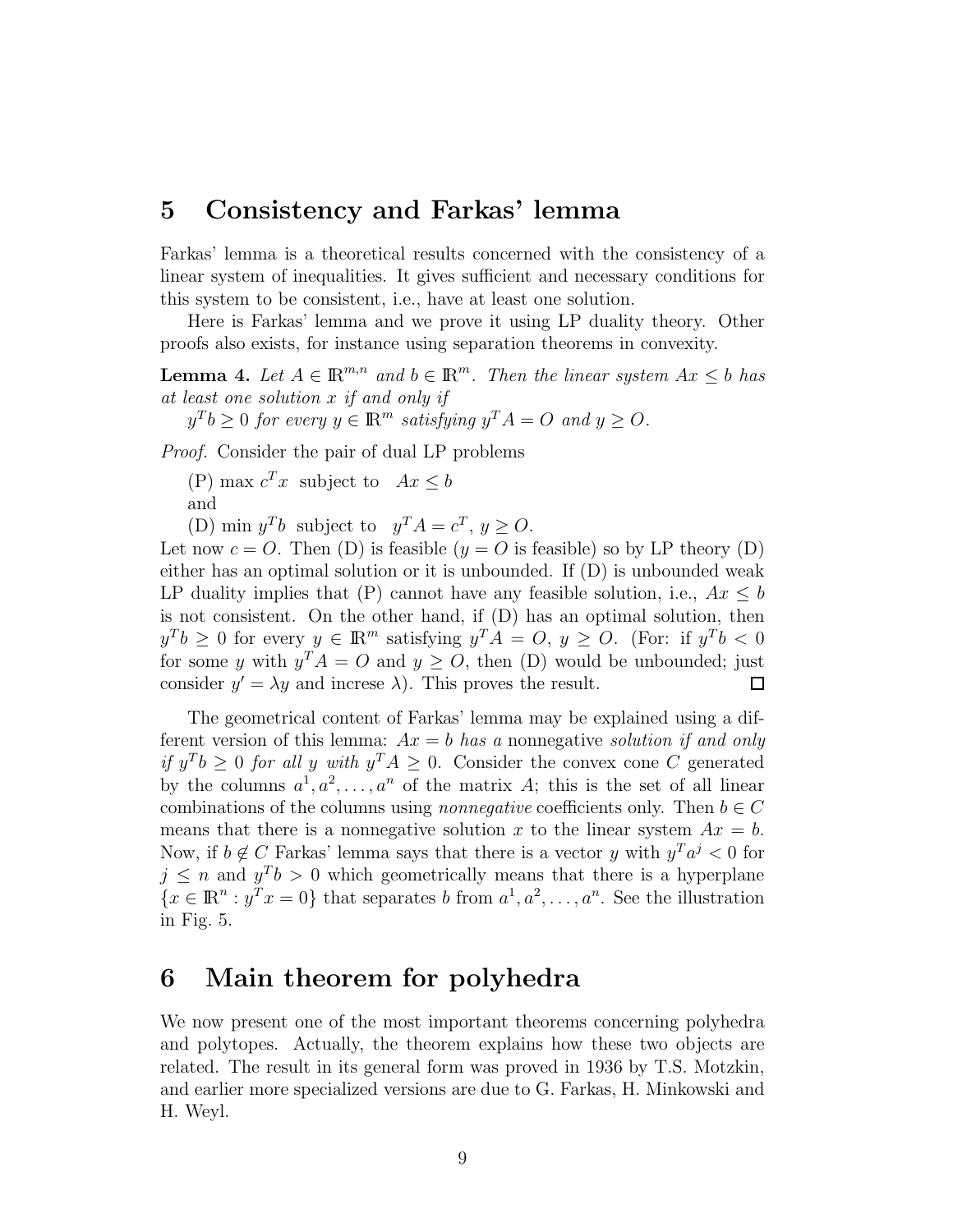#### 5 Consistency and Farkas' lemma

Farkas' lemma is a theoretical results concerned with the consistency of a linear system of inequalities. It gives sufficient and necessary conditions for this system to be consistent, i.e., have at least one solution.

Here is Farkas' lemma and we prove it using LP duality theory. Other proofs also exists, for instance using separation theorems in convexity.

**Lemma 4.** Let  $A \in \mathbb{R}^{m,n}$  and  $b \in \mathbb{R}^m$ . Then the linear system  $Ax \leq b$  has *at least one solution* x *if and only if*

 $y^T b \geq 0$  for every  $y \in \mathbb{R}^m$  satisfying  $y^T A = O$  and  $y \geq O$ .

*Proof.* Consider the pair of dual LP problems

(P) max  $c^T x$  subject to  $Ax \leq b$ and

(D) min  $y^T b$  subject to  $y^T A = c^T, y \ge 0$ .

Let now  $c = O$ . Then (D) is feasible  $(y = O)$  is feasible) so by LP theory (D) either has an optimal solution or it is unbounded. If (D) is unbounded weak LP duality implies that  $(P)$  cannot have any feasible solution, i.e.,  $Ax \leq b$ is not consistent. On the other hand, if (D) has an optimal solution, then  $y^T b \geq 0$  for every  $y \in \mathbb{R}^m$  satisfying  $y^T A = O, y \geq O$ . (For: if  $y^T b < 0$ for some y with  $y^T A = O$  and  $y \ge O$ , then (D) would be unbounded; just consider  $y' = \lambda y$  and increse  $\lambda$ ). This proves the result.  $\Box$ 

The geometrical content of Farkas' lemma may be explained using a different version of this lemma: Ax = b *has a* nonnegative *solution if and only if*  $y^T b \geq 0$  *for all* y *with*  $y^T A \geq 0$ . Consider the convex cone C generated by the columns  $a^1, a^2, \ldots, a^n$  of the matrix A; this is the set of all linear combinations of the columns using *nonnegative* coefficients only. Then  $b \in C$ means that there is a nonnegative solution x to the linear system  $Ax = b$ . Now, if  $b \notin C$  Farkas' lemma says that there is a vector y with  $y^T a^j < 0$  for  $j \leq n$  and  $y^T b > 0$  which geometrically means that there is a hyperplane  ${x \in \mathbb{R}^n : y^T x = 0}$  that separates b from  $a^1, a^2, \ldots, a^n$ . See the illustration in Fig. 5.

#### 6 Main theorem for polyhedra

We now present one of the most important theorems concerning polyhedra and polytopes. Actually, the theorem explains how these two objects are related. The result in its general form was proved in 1936 by T.S. Motzkin, and earlier more specialized versions are due to G. Farkas, H. Minkowski and H. Weyl.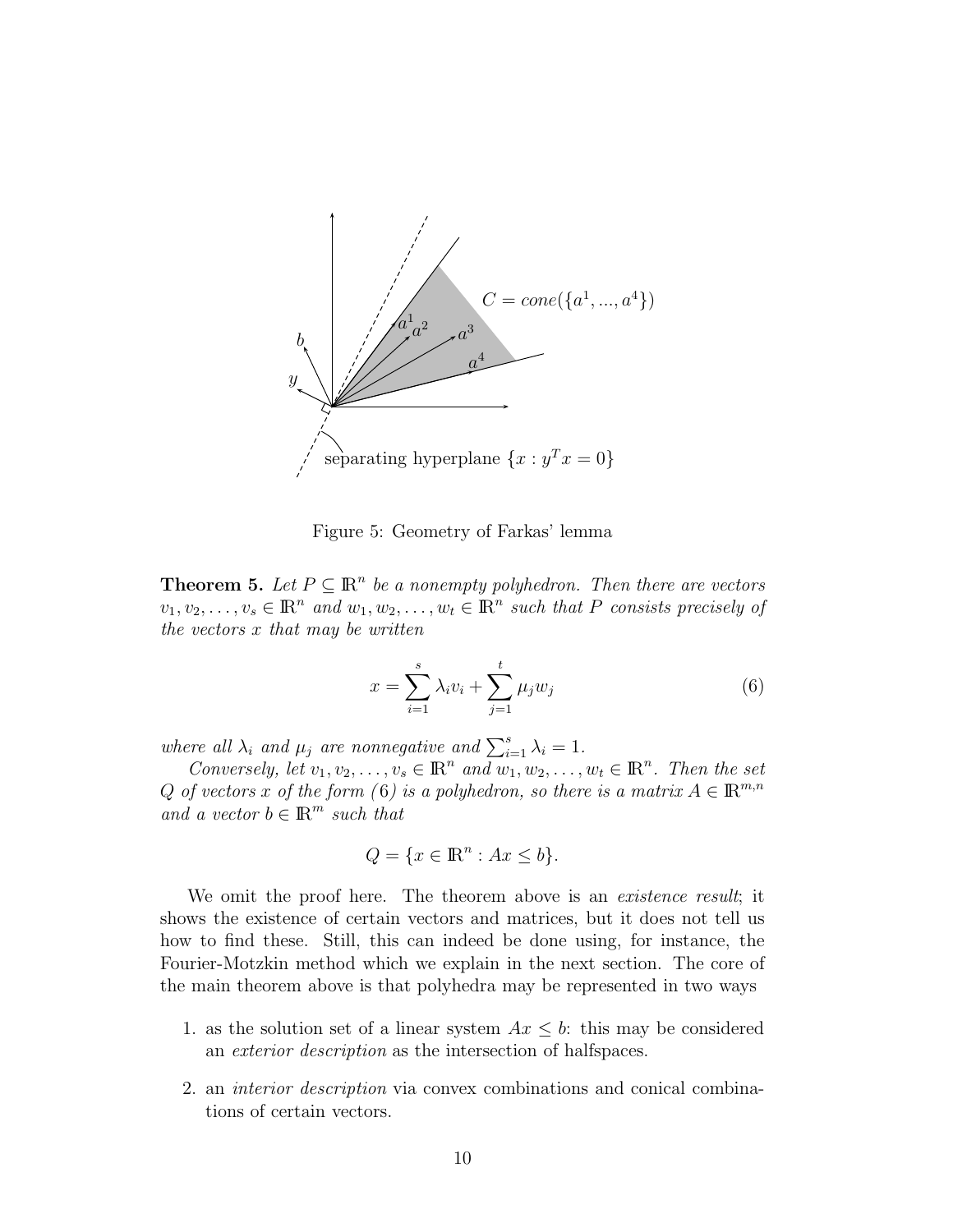

Figure 5: Geometry of Farkas' lemma

**Theorem 5.** Let  $P \subseteq \mathbb{R}^n$  be a nonempty polyhedron. Then there are vectors  $v_1, v_2, \ldots, v_s \in \mathbb{R}^n$  and  $w_1, w_2, \ldots, w_t \in \mathbb{R}^n$  such that P consists precisely of *the vectors* x *that may be written*

$$
x = \sum_{i=1}^{s} \lambda_i v_i + \sum_{j=1}^{t} \mu_j w_j
$$
 (6)

*where all*  $\lambda_i$  *and*  $\mu_j$  *are nonnegative and*  $\sum_{i=1}^s \lambda_i = 1$ *.* 

*Conversely, let*  $v_1, v_2, \ldots, v_s \in \mathbb{R}^n$  and  $w_1, w_2, \ldots, w_t \in \mathbb{R}^n$ . Then the set Q of vectors x of the form (6) is a polyhedron, so there is a matrix  $A \in \mathbb{R}^{m,n}$ *and a vector*  $b \in \mathbb{R}^m$  *such that* 

$$
Q = \{x \in \mathbb{R}^n : Ax \le b\}.
$$

We omit the proof here. The theorem above is an *existence result*; it shows the existence of certain vectors and matrices, but it does not tell us how to find these. Still, this can indeed be done using, for instance, the Fourier-Motzkin method which we explain in the next section. The core of the main theorem above is that polyhedra may be represented in two ways

- 1. as the solution set of a linear system  $Ax \leq b$ : this may be considered an *exterior description* as the intersection of halfspaces.
- 2. an *interior description* via convex combinations and conical combinations of certain vectors.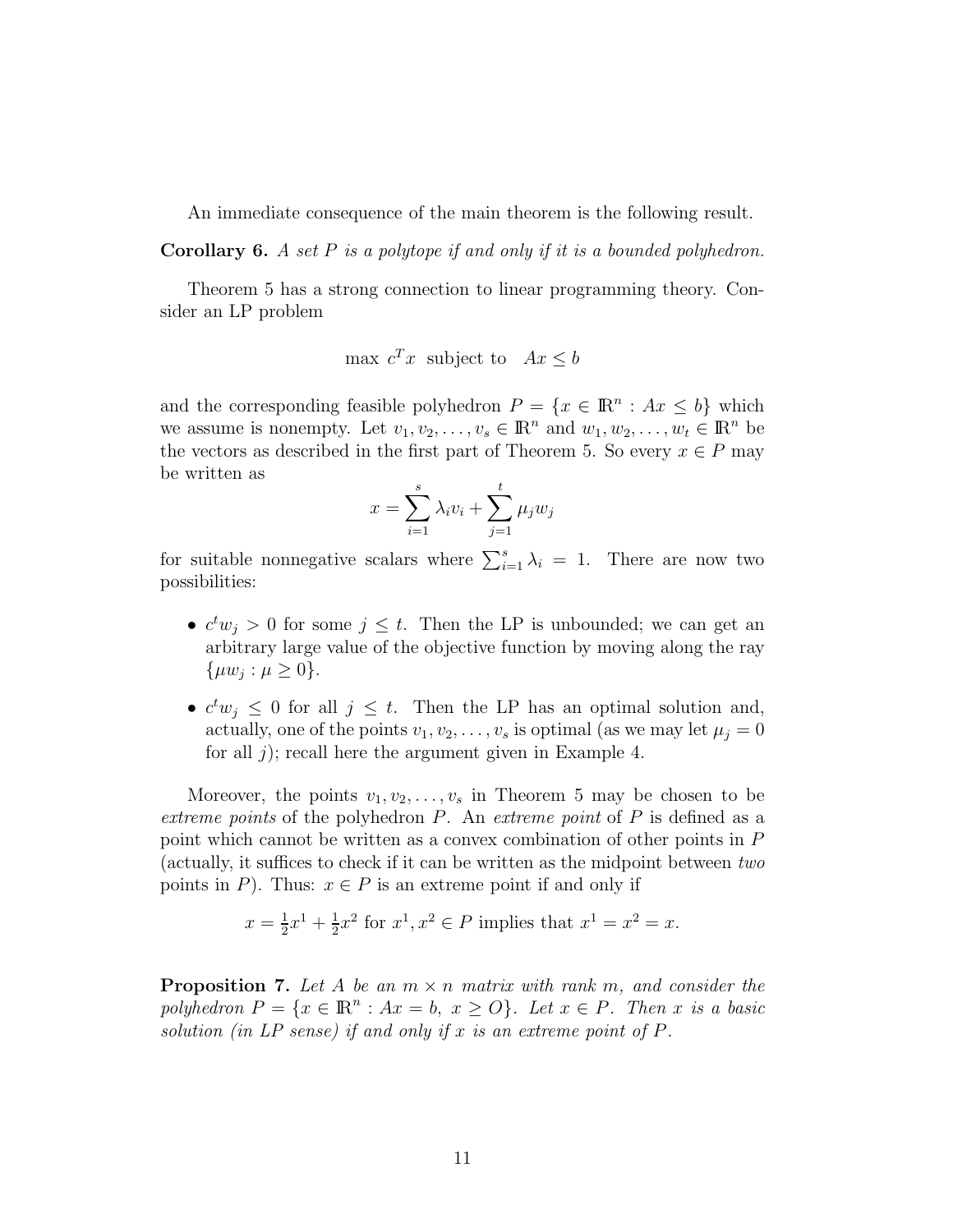An immediate consequence of the main theorem is the following result.

Corollary 6. *A set* P *is a polytope if and only if it is a bounded polyhedron.*

Theorem 5 has a strong connection to linear programming theory. Consider an LP problem

$$
\max c^T x \text{ subject to } Ax \le b
$$

and the corresponding feasible polyhedron  $P = \{x \in \mathbb{R}^n : Ax \leq b\}$  which we assume is nonempty. Let  $v_1, v_2, \ldots, v_s \in \mathbb{R}^n$  and  $w_1, w_2, \ldots, w_t \in \mathbb{R}^n$  be the vectors as described in the first part of Theorem 5. So every  $x \in P$  may be written as

$$
x = \sum_{i=1}^{s} \lambda_i v_i + \sum_{j=1}^{t} \mu_j w_j
$$

for suitable nonnegative scalars where  $\sum_{i=1}^{s} \lambda_i = 1$ . There are now two possibilities:

- $c^t w_j > 0$  for some  $j \leq t$ . Then the LP is unbounded; we can get an arbitrary large value of the objective function by moving along the ray  $\{\mu w_j : \mu \geq 0\}.$
- $c^t w_j \leq 0$  for all  $j \leq t$ . Then the LP has an optimal solution and, actually, one of the points  $v_1, v_2, \ldots, v_s$  is optimal (as we may let  $\mu_i = 0$ for all j); recall here the argument given in Example 4.

Moreover, the points  $v_1, v_2, \ldots, v_s$  in Theorem 5 may be chosen to be *extreme points* of the polyhedron P. An *extreme point* of P is defined as a point which cannot be written as a convex combination of other points in P (actually, it suffices to check if it can be written as the midpoint between *two* points in P). Thus:  $x \in P$  is an extreme point if and only if

$$
x = \frac{1}{2}x^1 + \frac{1}{2}x^2
$$
 for  $x^1, x^2 \in P$  implies that  $x^1 = x^2 = x$ .

**Proposition 7.** Let A be an  $m \times n$  matrix with rank m, and consider the  $polyhedron P = \{x \in \mathbb{R}^n : Ax = b, x \geq O\}$ *. Let*  $x \in P$ *. Then* x *is a basic solution (in LP sense) if and only if* x *is an extreme point of* P*.*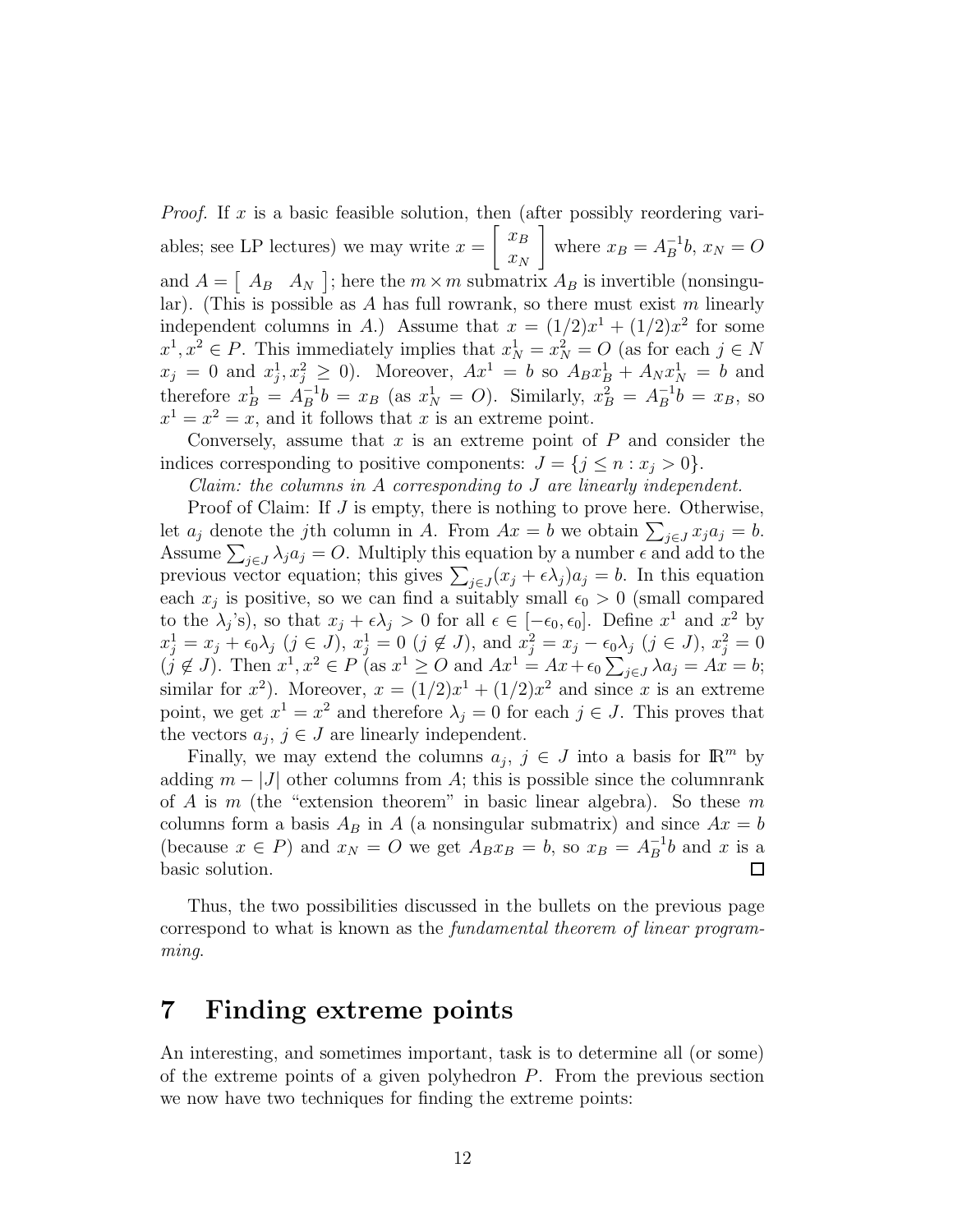*Proof.* If x is a basic feasible solution, then (after possibly reordering variables; see LP lectures) we may write  $x = \begin{bmatrix} x_B \\ x_B \end{bmatrix}$  $x_N$ where  $x_B = A_B^{-1}$  $B^{-1}b, x_N = O$ and  $A = \begin{bmatrix} A_B & A_N \end{bmatrix}$ ; here the  $m \times m$  submatrix  $A_B$  is invertible (nonsingular). (This is possible as  $A$  has full rowrank, so there must exist  $m$  linearly independent columns in A.) Assume that  $x = (1/2)x^1 + (1/2)x^2$  for some  $x^1, x^2 \in P$ . This immediately implies that  $x_N^1 = x_N^2 = O$  (as for each  $j \in N$  $x_j = 0$  and  $x_j^1$  $j, x_j^2 \ge 0$ ). Moreover,  $Ax^1 = b$  so  $A_B x_B^1 + A_N x_N^1 = b$  and therefore  $x_B^1 = A_B^{-1}$  $B^{-1}b = x_B$  (as  $x_N^1 = O$ ). Similarly,  $x_B^2 = A_B^{-1}$  $B^{-1}b = x_B$ , so  $x^1 = x^2 = x$ , and it follows that x is an extreme point.

Conversely, assume that  $x$  is an extreme point of  $P$  and consider the indices corresponding to positive components:  $J = \{j \leq n : x_j > 0\}.$ 

*Claim: the columns in* A *corresponding to* J *are linearly independent.*

Proof of Claim: If J is empty, there is nothing to prove here. Otherwise, let  $a_j$  denote the jth column in A. From  $Ax = b$  we obtain  $\sum_{j \in J} x_j a_j = b$ . Assume  $\sum_{j\in J}\lambda_j a_j = O$ . Multiply this equation by a number  $\epsilon$  and add to the previous vector equation; this gives  $\sum_{j\in J} (x_j + \epsilon \lambda_j) a_j = b$ . In this equation each  $x_j$  is positive, so we can find a suitably small  $\epsilon_0 > 0$  (small compared to the  $\lambda_j$ 's), so that  $x_j + \epsilon \lambda_j > 0$  for all  $\epsilon \in [-\epsilon_0, \epsilon_0]$ . Define  $x^1$  and  $x^2$  by  $x_j^1 = x_j + \epsilon_0 \lambda_j \ (j \in J), \ x_j^1 = 0 \ (j \notin J), \text{ and } x_j^2 = x_j - \epsilon_0 \lambda_j \ (j \in J), \ x_j^2 = 0$  $(j \notin J)$ . Then  $x^1, x^2 \in P$  (as  $x^1 \geq O$  and  $Ax^1 = Ax + \epsilon_0 \sum_{j \in J} \lambda a_j = Ax = b$ ; similar for  $x^2$ ). Moreover,  $x = (1/2)x^1 + (1/2)x^2$  and since x is an extreme point, we get  $x^1 = x^2$  and therefore  $\lambda_j = 0$  for each  $j \in J$ . This proves that the vectors  $a_j, j \in J$  are linearly independent.

Finally, we may extend the columns  $a_j, j \in J$  into a basis for  $\mathbb{R}^m$  by adding  $m - |J|$  other columns from A; this is possible since the columnrank of A is m (the "extension theorem" in basic linear algebra). So these m columns form a basis  $A_B$  in A (a nonsingular submatrix) and since  $Ax = b$ (because  $x \in P$ ) and  $x_N = O$  we get  $A_B x_B = b$ , so  $x_B = A_B^{-1}$  $B^{-1}b$  and x is a basic solution.  $\Box$ 

Thus, the two possibilities discussed in the bullets on the previous page correspond to what is known as the *fundamental theorem of linear programming*.

#### 7 Finding extreme points

An interesting, and sometimes important, task is to determine all (or some) of the extreme points of a given polyhedron P. From the previous section we now have two techniques for finding the extreme points: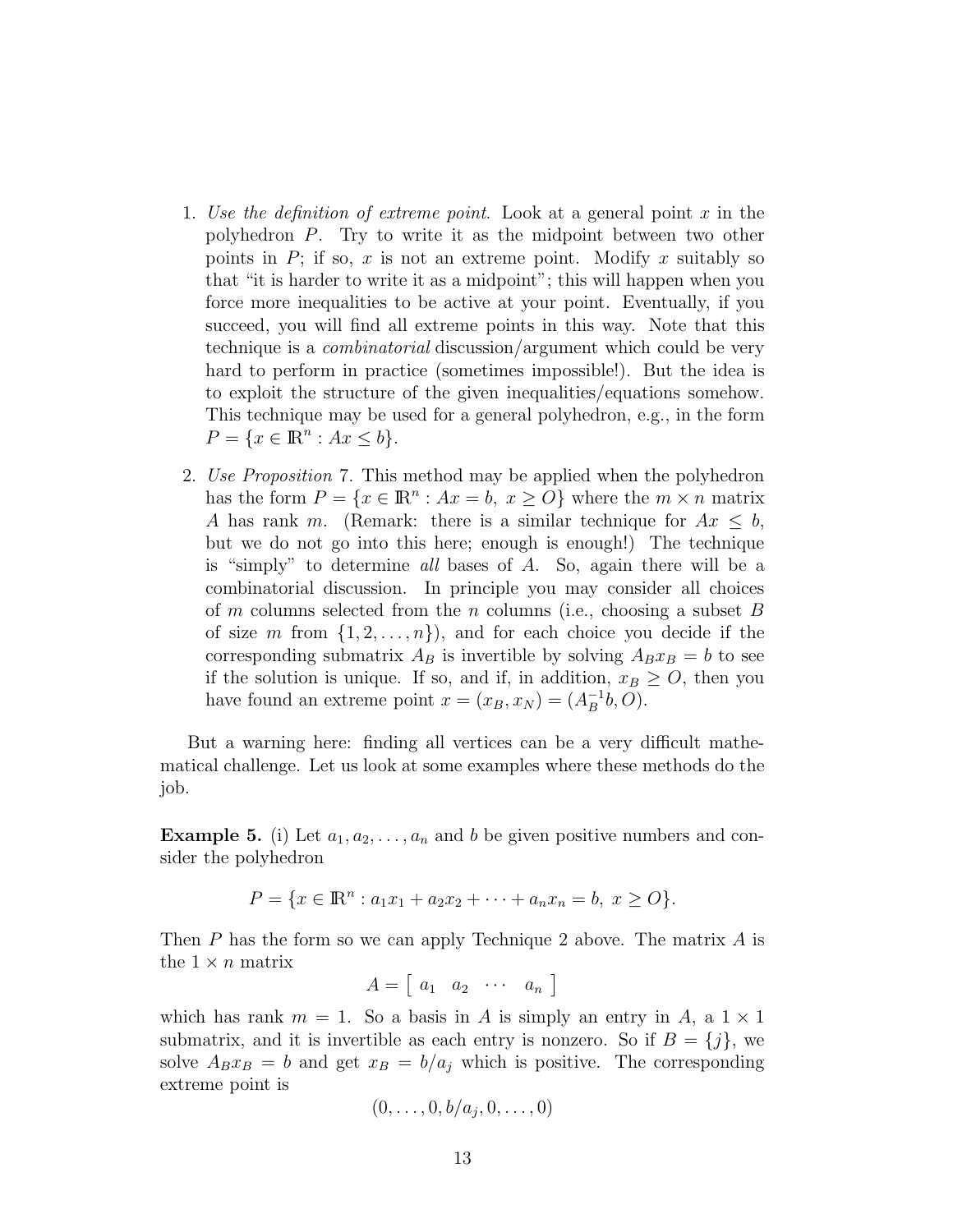- 1. *Use the definition of extreme point*. Look at a general point x in the polyhedron P. Try to write it as the midpoint between two other points in  $P$ ; if so, x is not an extreme point. Modify x suitably so that "it is harder to write it as a midpoint"; this will happen when you force more inequalities to be active at your point. Eventually, if you succeed, you will find all extreme points in this way. Note that this technique is a *combinatorial* discussion/argument which could be very hard to perform in practice (sometimes impossible!). But the idea is to exploit the structure of the given inequalities/equations somehow. This technique may be used for a general polyhedron, e.g., in the form  $P = \{x \in \mathbb{R}^n : Ax \leq b\}.$
- 2. *Use Proposition* 7. This method may be applied when the polyhedron has the form  $P = \{x \in \mathbb{R}^n : Ax = b, x \ge 0\}$  where the  $m \times n$  matrix A has rank m. (Remark: there is a similar technique for  $Ax \leq b$ , but we do not go into this here; enough is enough!) The technique is "simply" to determine *all* bases of A. So, again there will be a combinatorial discussion. In principle you may consider all choices of m columns selected from the n columns (i.e., choosing a subset  $B$ of size m from  $\{1, 2, \ldots, n\}$ , and for each choice you decide if the corresponding submatrix  $A_B$  is invertible by solving  $A_Bx_B = b$  to see if the solution is unique. If so, and if, in addition,  $x_B \geq O$ , then you have found an extreme point  $x = (x_B, x_N) = (A_B^{-1})$  $B^{-1}b, O$ ).

But a warning here: finding all vertices can be a very difficult mathematical challenge. Let us look at some examples where these methods do the job.

**Example 5.** (i) Let  $a_1, a_2, \ldots, a_n$  and b be given positive numbers and consider the polyhedron

$$
P = \{x \in \mathbb{R}^n : a_1x_1 + a_2x_2 + \dots + a_nx_n = b, x \ge 0\}.
$$

Then P has the form so we can apply Technique 2 above. The matrix A is the  $1 \times n$  matrix

$$
A = \left[ \begin{array}{cccc} a_1 & a_2 & \cdots & a_n \end{array} \right]
$$

which has rank  $m = 1$ . So a basis in A is simply an entry in A, a  $1 \times 1$ submatrix, and it is invertible as each entry is nonzero. So if  $B = \{j\}$ , we solve  $A_Bx_B = b$  and get  $x_B = b/a_j$  which is positive. The corresponding extreme point is

$$
(0,\ldots,0,b/a_j,0,\ldots,0)
$$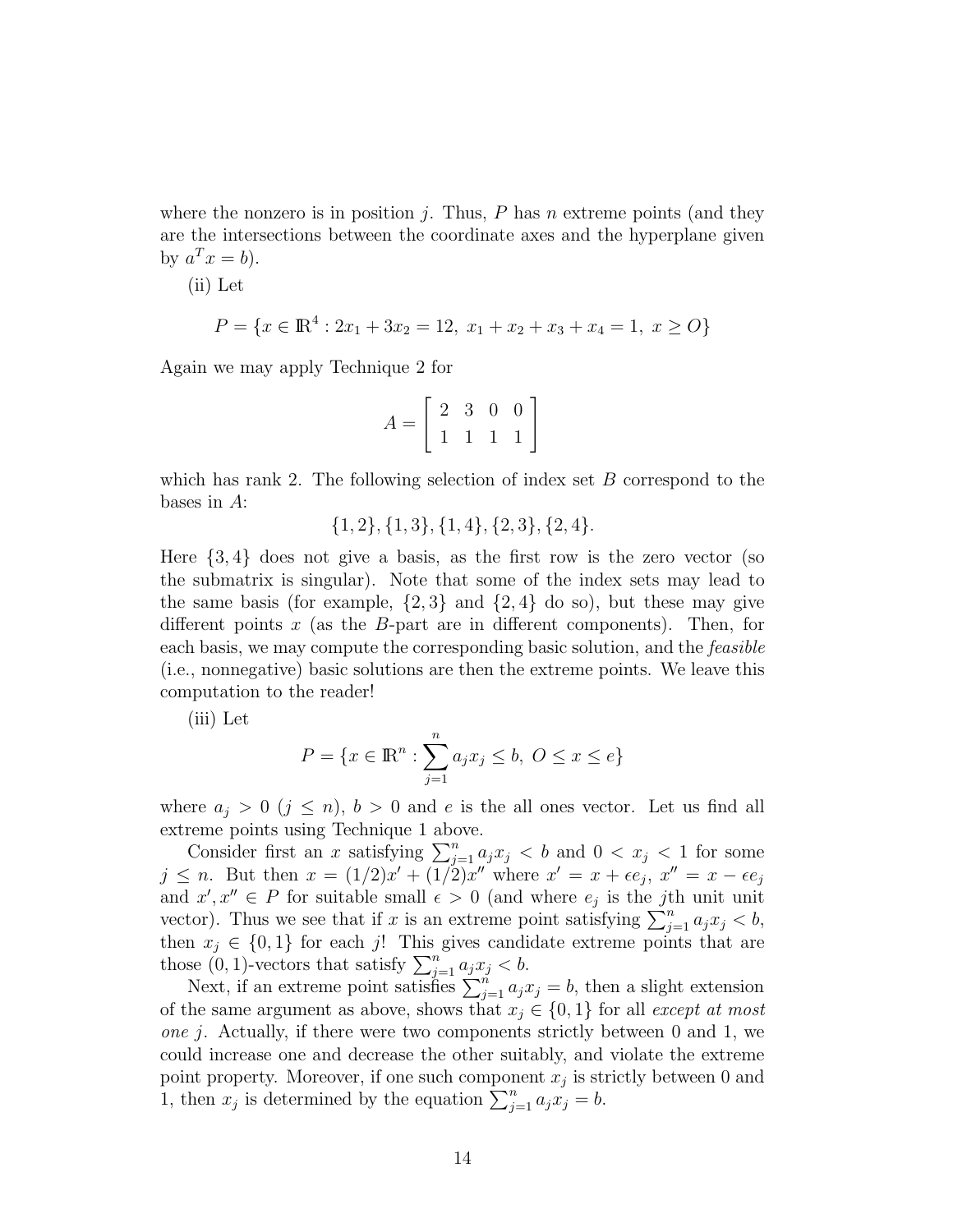where the nonzero is in position  $j$ . Thus,  $P$  has  $n$  extreme points (and they are the intersections between the coordinate axes and the hyperplane given by  $a^T x = b$ ).

(ii) Let

$$
P = \{x \in \mathbb{R}^4 : 2x_1 + 3x_2 = 12, \ x_1 + x_2 + x_3 + x_4 = 1, \ x \ge 0\}
$$

Again we may apply Technique 2 for

$$
A = \left[ \begin{array}{rrr} 2 & 3 & 0 & 0 \\ 1 & 1 & 1 & 1 \end{array} \right]
$$

which has rank 2. The following selection of index set  $B$  correspond to the bases in A:

{1, 2}, {1, 3}, {1, 4}, {2, 3}, {2, 4}.

Here  $\{3, 4\}$  does not give a basis, as the first row is the zero vector (so the submatrix is singular). Note that some of the index sets may lead to the same basis (for example,  $\{2,3\}$  and  $\{2,4\}$  do so), but these may give different points  $x$  (as the  $B$ -part are in different components). Then, for each basis, we may compute the corresponding basic solution, and the *feasible* (i.e., nonnegative) basic solutions are then the extreme points. We leave this computation to the reader!

(iii) Let

$$
P = \{x \in \mathbb{R}^n : \sum_{j=1}^n a_j x_j \le b, \ O \le x \le e\}
$$

where  $a_j > 0$   $(j \leq n)$ ,  $b > 0$  and e is the all ones vector. Let us find all extreme points using Technique 1 above.

Consider first an x satisfying  $\sum_{j=1}^{n} a_j x_j < b$  and  $0 < x_j < 1$  for some  $j \leq n$ . But then  $x = (1/2)x' + (1/2)x''$  where  $x' = x + \epsilon e_j$ ,  $x'' = x - \epsilon e_j$ and  $x', x'' \in P$  for suitable small  $\epsilon > 0$  (and where  $e_j$  is the *j*th unit unit vector). Thus we see that if x is an extreme point satisfying  $\sum_{j=1}^{n} a_j x_j < b$ , then  $x_j \in \{0,1\}$  for each j! This gives candidate extreme points that are those  $(0, 1)$ -vectors that satisfy  $\sum_{j=1}^{n} a_j x_j < b$ .

Next, if an extreme point satisfies  $\sum_{j=1}^{n} a_j x_j = b$ , then a slight extension of the same argument as above, shows that  $x_j \in \{0, 1\}$  for all *except at most one* j. Actually, if there were two components strictly between 0 and 1, we could increase one and decrease the other suitably, and violate the extreme point property. Moreover, if one such component  $x_j$  is strictly between 0 and 1, then  $x_j$  is determined by the equation  $\sum_{j=1}^n a_j x_j = b$ .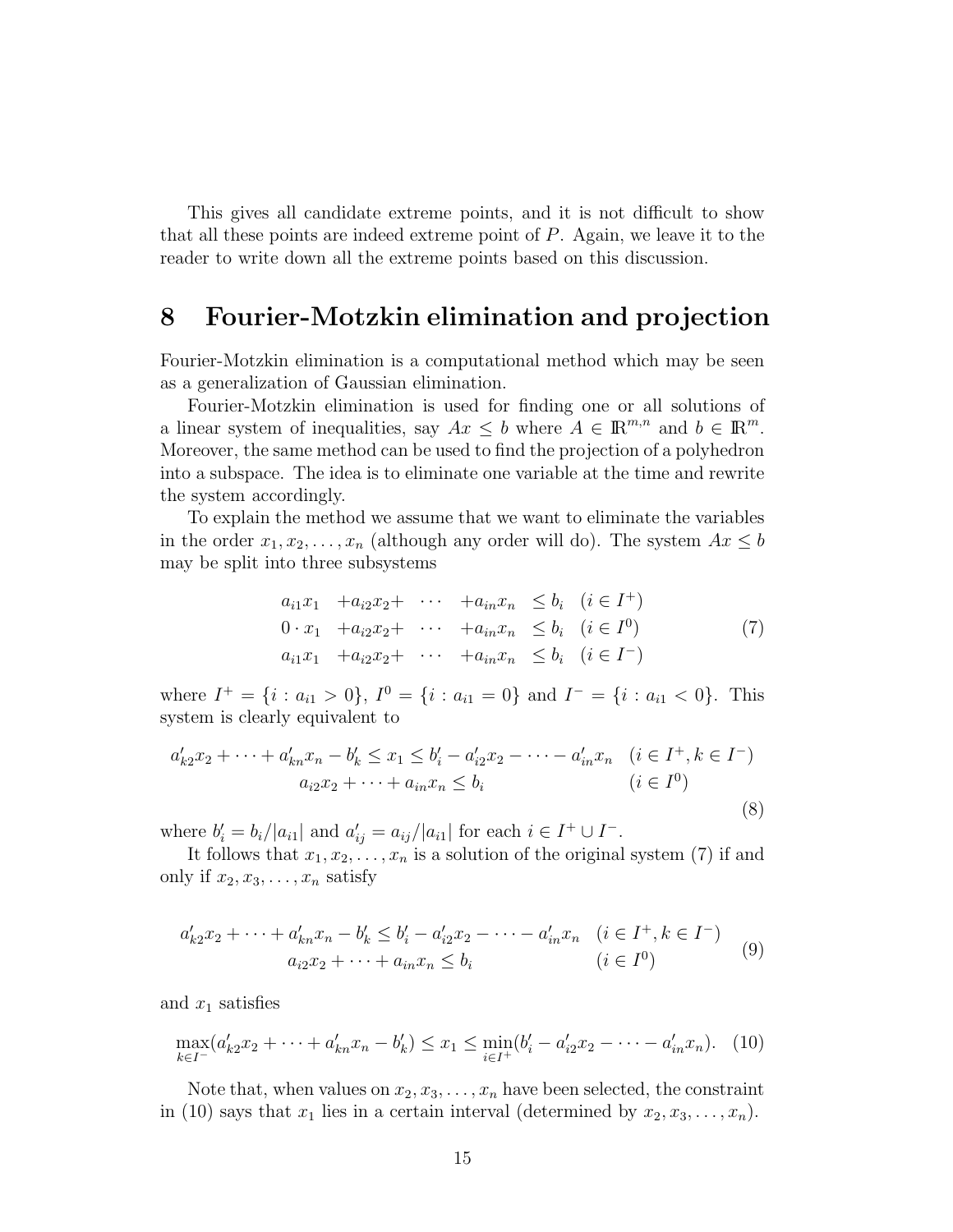This gives all candidate extreme points, and it is not difficult to show that all these points are indeed extreme point of  $P$ . Again, we leave it to the reader to write down all the extreme points based on this discussion.

#### 8 Fourier-Motzkin elimination and projection

Fourier-Motzkin elimination is a computational method which may be seen as a generalization of Gaussian elimination.

Fourier-Motzkin elimination is used for finding one or all solutions of a linear system of inequalities, say  $Ax \leq b$  where  $A \in \mathbb{R}^{m,n}$  and  $b \in \mathbb{R}^m$ . Moreover, the same method can be used to find the projection of a polyhedron into a subspace. The idea is to eliminate one variable at the time and rewrite the system accordingly.

To explain the method we assume that we want to eliminate the variables in the order  $x_1, x_2, \ldots, x_n$  (although any order will do). The system  $Ax \leq b$ may be split into three subsystems

$$
a_{i1}x_1 + a_{i2}x_2 + \cdots + a_{in}x_n \leq b_i \quad (i \in I^+)
$$
  
\n
$$
0 \cdot x_1 + a_{i2}x_2 + \cdots + a_{in}x_n \leq b_i \quad (i \in I^0)
$$
  
\n
$$
a_{i1}x_1 + a_{i2}x_2 + \cdots + a_{in}x_n \leq b_i \quad (i \in I^-)
$$
\n(7)

where  $I^+ = \{i : a_{i1} > 0\}$ ,  $I^0 = \{i : a_{i1} = 0\}$  and  $I^- = \{i : a_{i1} < 0\}$ . This system is clearly equivalent to

$$
a'_{k2}x_2 + \dots + a'_{kn}x_n - b'_k \le x_1 \le b'_i - a'_{i2}x_2 - \dots - a'_{in}x_n \quad (i \in I^+, k \in I^-)
$$
  

$$
a_{i2}x_2 + \dots + a_{in}x_n \le b_i \qquad (i \in I^0)
$$
  
(8)

where  $b'_i = b_i/|a_{i1}|$  and  $a'_{ij} = a_{ij}/|a_{i1}|$  for each  $i \in I^+ \cup I^-$ .

It follows that  $x_1, x_2, \ldots, x_n$  is a solution of the original system (7) if and only if  $x_2, x_3, \ldots, x_n$  satisfy

$$
a'_{k2}x_2 + \dots + a'_{kn}x_n - b'_k \le b'_i - a'_{i2}x_2 - \dots - a'_{in}x_n \quad (i \in I^+, k \in I^-)
$$
  

$$
a_{i2}x_2 + \dots + a_{in}x_n \le b_i \qquad (i \in I^0)
$$
 (9)

and  $x_1$  satisfies

$$
\max_{k \in I^-} (a'_{k2}x_2 + \dots + a'_{kn}x_n - b'_k) \le x_1 \le \min_{i \in I^+} (b'_i - a'_{i2}x_2 - \dots - a'_{in}x_n). \tag{10}
$$

Note that, when values on  $x_2, x_3, \ldots, x_n$  have been selected, the constraint in (10) says that  $x_1$  lies in a certain interval (determined by  $x_2, x_3, \ldots, x_n$ ).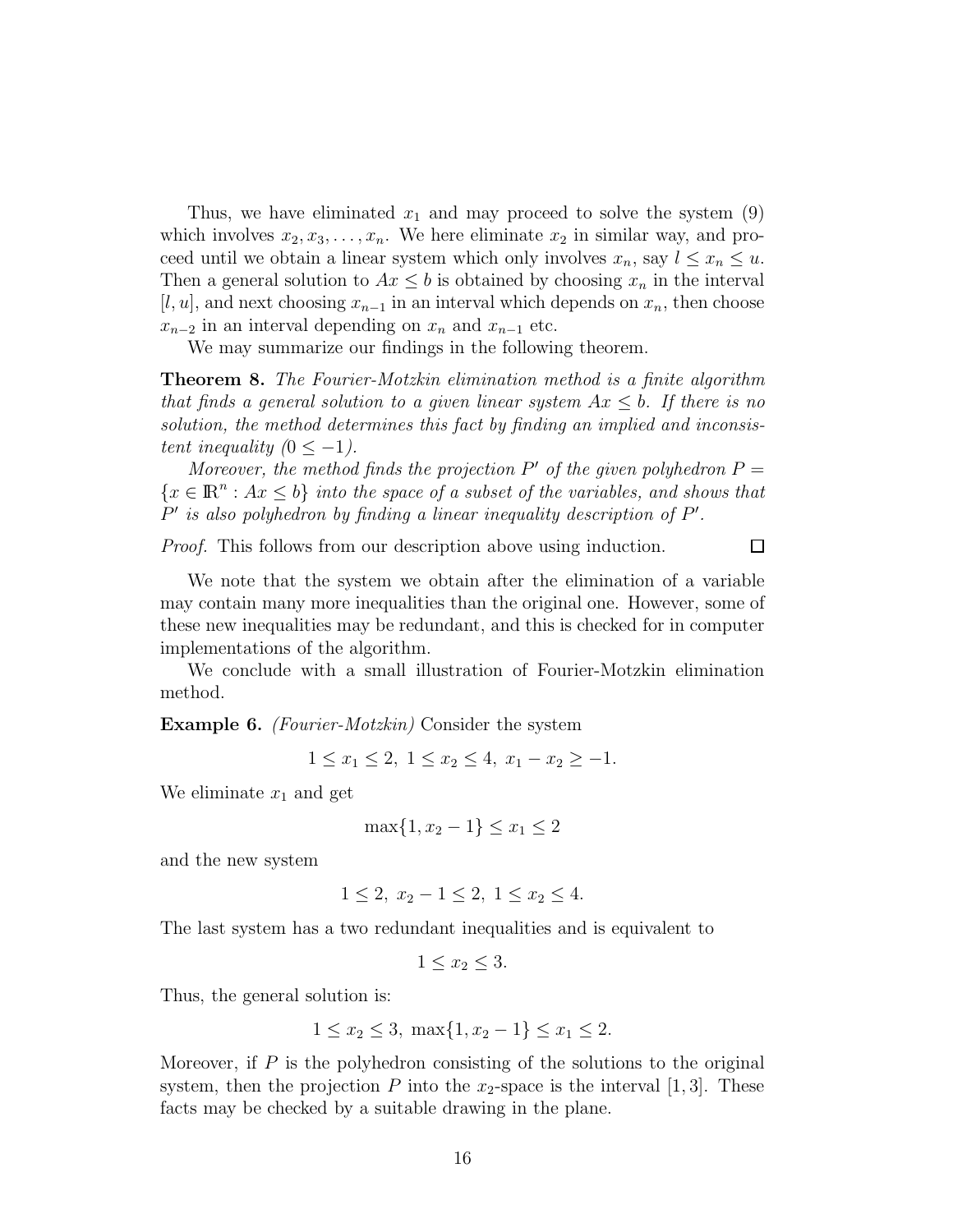Thus, we have eliminated  $x_1$  and may proceed to solve the system  $(9)$ which involves  $x_2, x_3, \ldots, x_n$ . We here eliminate  $x_2$  in similar way, and proceed until we obtain a linear system which only involves  $x_n$ , say  $l \leq x_n \leq u$ . Then a general solution to  $Ax \leq b$  is obtained by choosing  $x_n$  in the interval  $[l, u]$ , and next choosing  $x_{n-1}$  in an interval which depends on  $x_n$ , then choose  $x_{n-2}$  in an interval depending on  $x_n$  and  $x_{n-1}$  etc.

We may summarize our findings in the following theorem.

Theorem 8. *The Fourier-Motzkin elimination method is a finite algorithm that finds a general solution to a given linear system* Ax ≤ b*. If there is no solution, the method determines this fact by finding an implied and inconsistent inequality*  $(0 \le -1)$ .

*Moreover, the method finds the projection*  $P'$  *of the given polyhedron*  $P =$  ${x \in \mathbb{R}^n : Ax \le b}$  *into the space of a subset of the variables, and shows that* P' is also polyhedron by finding a linear inequality description of P'.

*Proof.* This follows from our description above using induction.

 $\Box$ 

We note that the system we obtain after the elimination of a variable may contain many more inequalities than the original one. However, some of these new inequalities may be redundant, and this is checked for in computer implementations of the algorithm.

We conclude with a small illustration of Fourier-Motzkin elimination method.

Example 6. *(Fourier-Motzkin)* Consider the system

$$
1 \le x_1 \le 2, \ 1 \le x_2 \le 4, \ x_1 - x_2 \ge -1.
$$

We eliminate  $x_1$  and get

$$
\max\{1, x_2 - 1\} \le x_1 \le 2
$$

and the new system

$$
1 \le 2, x_2 - 1 \le 2, 1 \le x_2 \le 4.
$$

The last system has a two redundant inequalities and is equivalent to

 $1 \leq x_2 \leq 3$ .

Thus, the general solution is:

$$
1 \le x_2 \le 3, \ \max\{1, x_2 - 1\} \le x_1 \le 2.
$$

Moreover, if  $P$  is the polyhedron consisting of the solutions to the original system, then the projection P into the  $x_2$ -space is the interval [1,3]. These facts may be checked by a suitable drawing in the plane.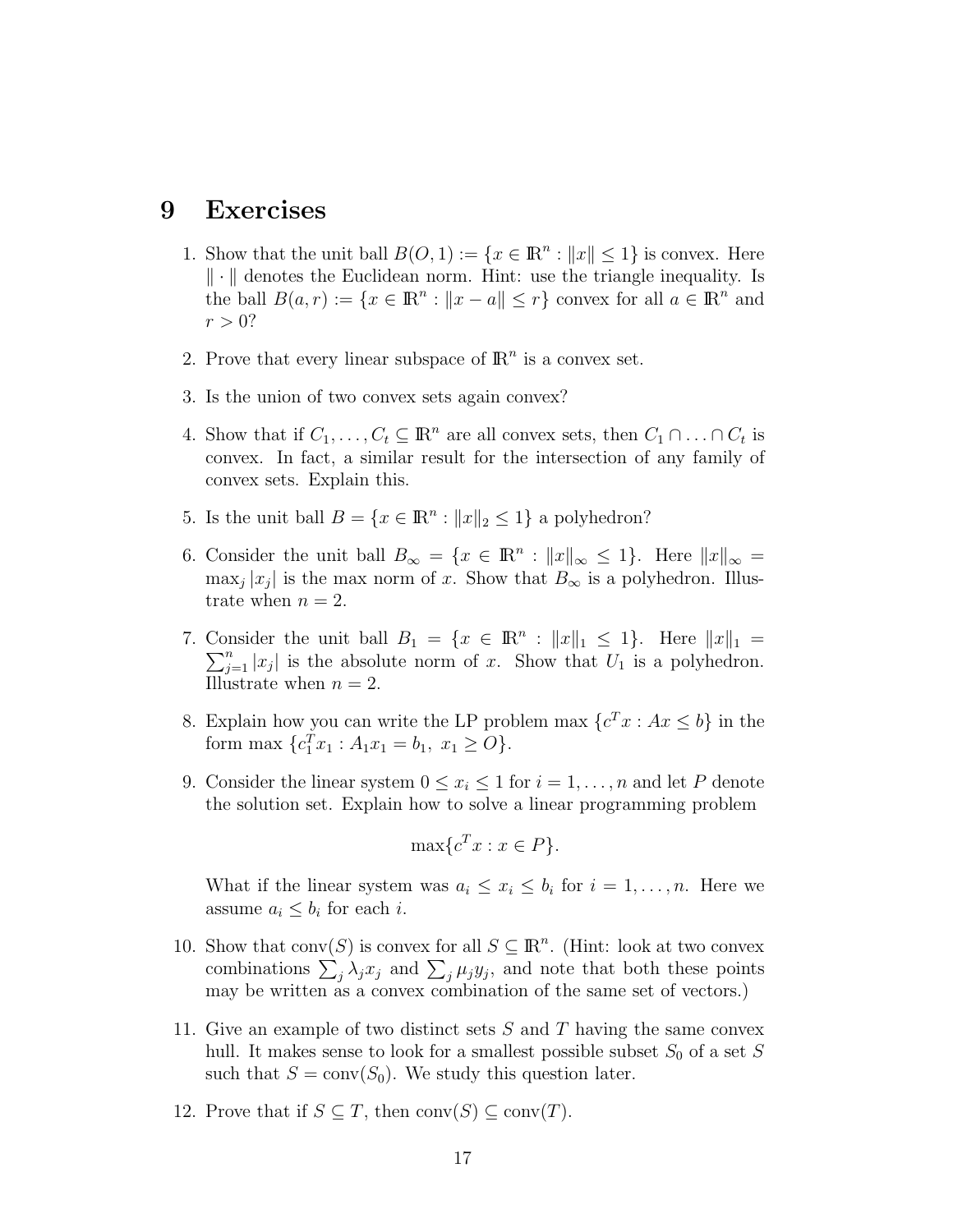#### 9 Exercises

- 1. Show that the unit ball  $B(O, 1) := \{x \in \mathbb{R}^n : ||x|| \leq 1\}$  is convex. Here  $\|\cdot\|$  denotes the Euclidean norm. Hint: use the triangle inequality. Is the ball  $B(a, r) := \{x \in \mathbb{R}^n : ||x - a|| \le r\}$  convex for all  $a \in \mathbb{R}^n$  and  $r > 0?$
- 2. Prove that every linear subspace of  $\mathbb{R}^n$  is a convex set.
- 3. Is the union of two convex sets again convex?
- 4. Show that if  $C_1, \ldots, C_t \subseteq \mathbb{R}^n$  are all convex sets, then  $C_1 \cap \ldots \cap C_t$  is convex. In fact, a similar result for the intersection of any family of convex sets. Explain this.
- 5. Is the unit ball  $B = \{x \in \mathbb{R}^n : ||x||_2 \leq 1\}$  a polyhedron?
- 6. Consider the unit ball  $B_{\infty} = \{x \in \mathbb{R}^n : ||x||_{\infty} \leq 1\}$ . Here  $||x||_{\infty} =$  $\max_j |x_j|$  is the max norm of x. Show that  $B_{\infty}$  is a polyhedron. Illustrate when  $n = 2$ .
- 7. Consider the unit ball  $B_1 = \{x \in \mathbb{R}^n : ||x||_1 \leq 1\}$ . Here  $||x||_1 =$  $\sum_{j=1}^n |x_j|$  is the absolute norm of x. Show that  $U_1$  is a polyhedron. Illustrate when  $n = 2$ .
- 8. Explain how you can write the LP problem max  $\{c^T x : Ax \leq b\}$  in the form max  $\{c_1^T x_1 : A_1 x_1 = b_1, x_1 \geq O\}.$
- 9. Consider the linear system  $0 \le x_i \le 1$  for  $i = 1, ..., n$  and let P denote the solution set. Explain how to solve a linear programming problem

$$
\max\{c^T x : x \in P\}.
$$

What if the linear system was  $a_i \leq x_i \leq b_i$  for  $i = 1, \ldots, n$ . Here we assume  $a_i \leq b_i$  for each *i*.

- 10. Show that  $conv(S)$  is convex for all  $S \subseteq \mathbb{R}^n$ . (Hint: look at two convex combinations  $\sum_j \lambda_j x_j$  and  $\sum_j \mu_j y_j$ , and note that both these points may be written as a convex combination of the same set of vectors.)
- 11. Give an example of two distinct sets  $S$  and  $T$  having the same convex hull. It makes sense to look for a smallest possible subset  $S_0$  of a set S such that  $S = \text{conv}(S_0)$ . We study this question later.
- 12. Prove that if  $S \subseteq T$ , then conv $(S) \subseteq \text{conv}(T)$ .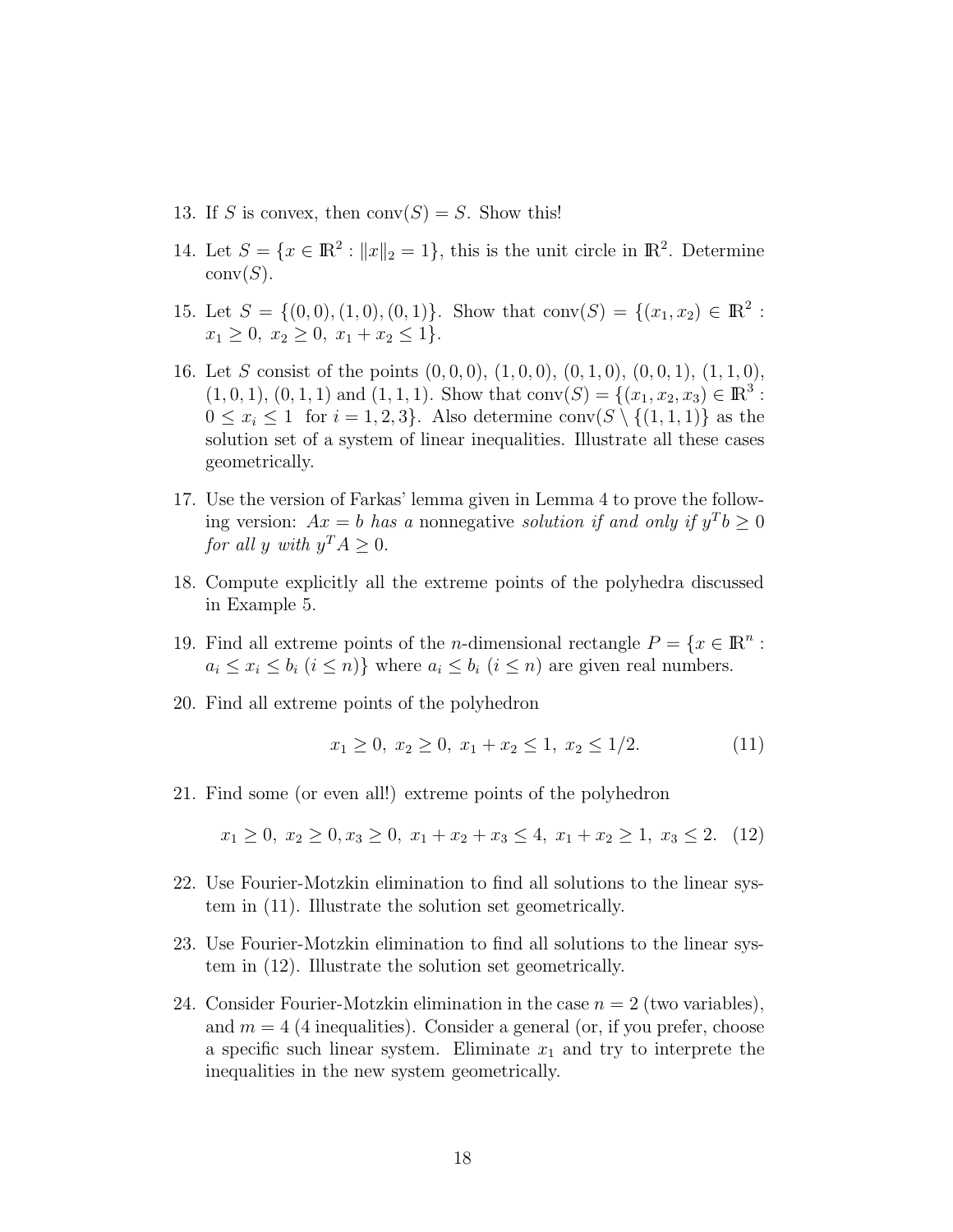- 13. If S is convex, then  $conv(S) = S$ . Show this!
- 14. Let  $S = \{x \in \mathbb{R}^2 : ||x||_2 = 1\}$ , this is the unit circle in  $\mathbb{R}^2$ . Determine  $conv(S)$ .
- 15. Let  $S = \{(0,0), (1,0), (0,1)\}.$  Show that conv $(S) = \{(x_1, x_2) \in \mathbb{R}^2 : S \neq S\}$  $x_1 \geq 0, \ x_2 \geq 0, \ x_1 + x_2 \leq 1$ .
- 16. Let S consist of the points  $(0, 0, 0)$ ,  $(1, 0, 0)$ ,  $(0, 1, 0)$ ,  $(0, 0, 1)$ ,  $(1, 1, 0)$ ,  $(1, 0, 1), (0, 1, 1)$  and  $(1, 1, 1)$ . Show that conv $(S) = \{(x_1, x_2, x_3) \in \mathbb{R}^3 :$  $0 \leq x_i \leq 1$  for  $i = 1, 2, 3$ . Also determine conv $(S \setminus \{(1, 1, 1)\})$  as the solution set of a system of linear inequalities. Illustrate all these cases geometrically.
- 17. Use the version of Farkas' lemma given in Lemma 4 to prove the following version:  $Ax = b$  has a nonnegative *solution if and only if*  $y^T b \ge 0$ *for all* y with  $y^T A \geq 0$ .
- 18. Compute explicitly all the extreme points of the polyhedra discussed in Example 5.
- 19. Find all extreme points of the *n*-dimensional rectangle  $P = \{x \in \mathbb{R}^n :$  $a_i \leq x_i \leq b_i$   $(i \leq n)$ } where  $a_i \leq b_i$   $(i \leq n)$  are given real numbers.
- 20. Find all extreme points of the polyhedron

$$
x_1 \ge 0, x_2 \ge 0, x_1 + x_2 \le 1, x_2 \le 1/2. \tag{11}
$$

21. Find some (or even all!) extreme points of the polyhedron

 $x_1 > 0$ ,  $x_2 > 0$ ,  $x_3 > 0$ ,  $x_1 + x_2 + x_3 < 4$ ,  $x_1 + x_2 > 1$ ,  $x_3 < 2$ . (12)

- 22. Use Fourier-Motzkin elimination to find all solutions to the linear system in (11). Illustrate the solution set geometrically.
- 23. Use Fourier-Motzkin elimination to find all solutions to the linear system in (12). Illustrate the solution set geometrically.
- 24. Consider Fourier-Motzkin elimination in the case  $n = 2$  (two variables), and  $m = 4$  (4 inequalities). Consider a general (or, if you prefer, choose a specific such linear system. Eliminate  $x_1$  and try to interprete the inequalities in the new system geometrically.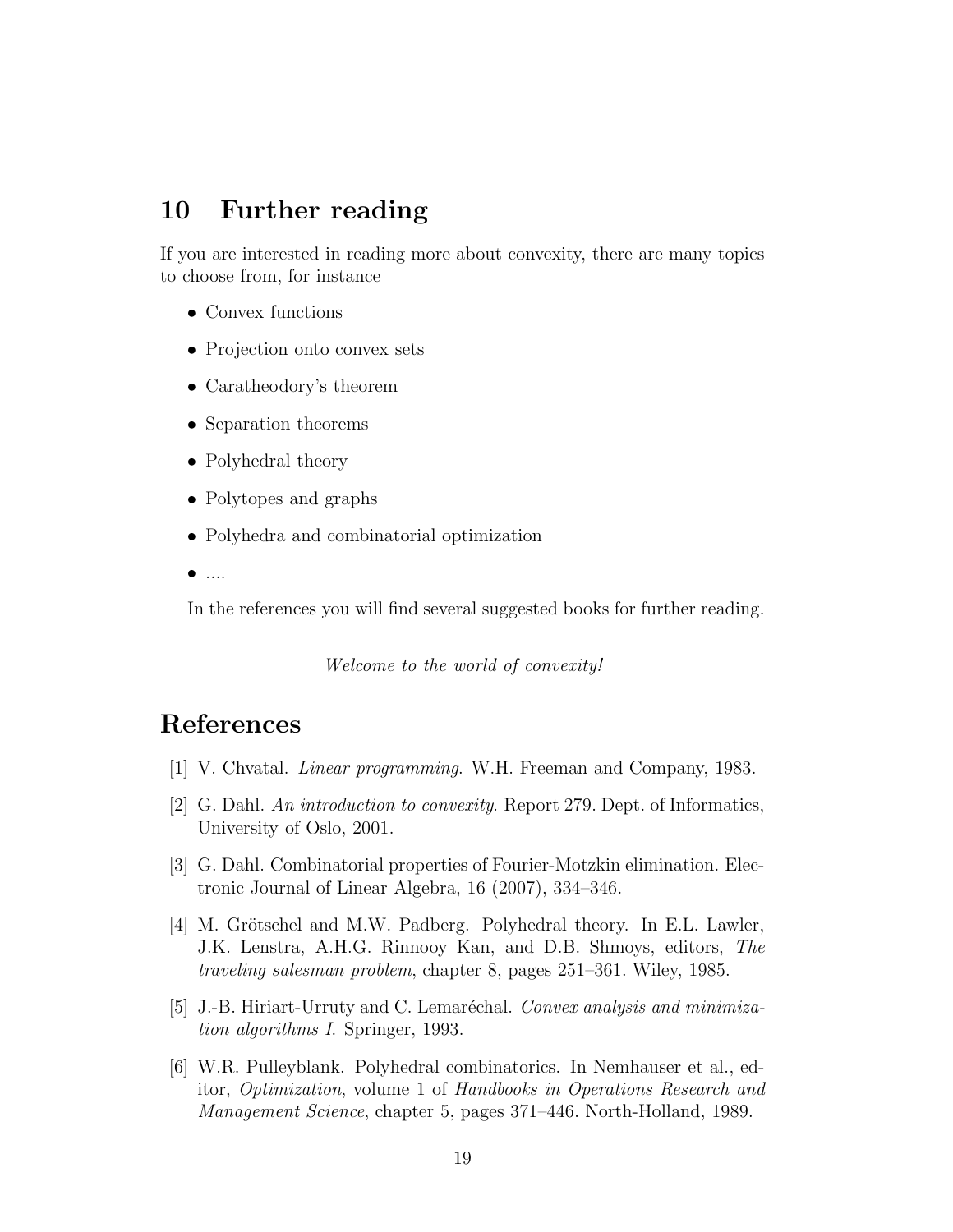## 10 Further reading

If you are interested in reading more about convexity, there are many topics to choose from, for instance

- Convex functions
- Projection onto convex sets
- Caratheodory's theorem
- Separation theorems
- Polyhedral theory
- Polytopes and graphs
- Polyhedra and combinatorial optimization
- $\bullet$  ....

In the references you will find several suggested books for further reading.

*Welcome to the world of convexity!*

## References

- [1] V. Chvatal. *Linear programming*. W.H. Freeman and Company, 1983.
- [2] G. Dahl. *An introduction to convexity*. Report 279. Dept. of Informatics, University of Oslo, 2001.
- [3] G. Dahl. Combinatorial properties of Fourier-Motzkin elimination. Electronic Journal of Linear Algebra, 16 (2007), 334–346.
- [4] M. Grötschel and M.W. Padberg. Polyhedral theory. In E.L. Lawler, J.K. Lenstra, A.H.G. Rinnooy Kan, and D.B. Shmoys, editors, *The traveling salesman problem*, chapter 8, pages 251–361. Wiley, 1985.
- [5] J.-B. Hiriart-Urruty and C. Lemaréchal. *Convex analysis and minimization algorithms I*. Springer, 1993.
- [6] W.R. Pulleyblank. Polyhedral combinatorics. In Nemhauser et al., editor, *Optimization*, volume 1 of *Handbooks in Operations Research and Management Science*, chapter 5, pages 371–446. North-Holland, 1989.